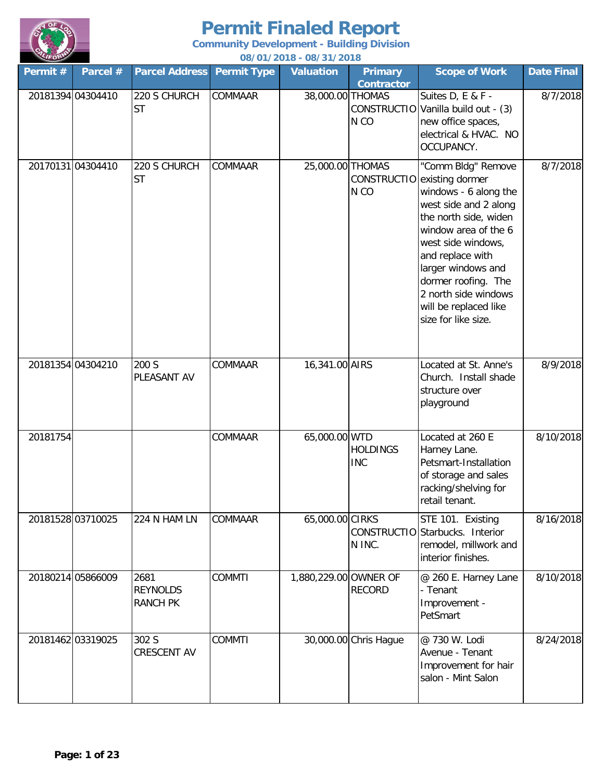

| $\sim$<br>Permit # | Parcel #          | <b>Parcel Address</b>                      | <b>Permit Type</b> | <u>00/01/2010 - 00/31/2010</u><br><b>Valuation</b> | <b>Primary</b><br><b>Contractor</b> | <b>Scope of Work</b>                                                                                                                                                                                                                                                                                                | <b>Date Final</b> |
|--------------------|-------------------|--------------------------------------------|--------------------|----------------------------------------------------|-------------------------------------|---------------------------------------------------------------------------------------------------------------------------------------------------------------------------------------------------------------------------------------------------------------------------------------------------------------------|-------------------|
| 20181394 04304410  |                   | 220 S CHURCH<br><b>ST</b>                  | COMMAAR            | 38,000.00 THOMAS                                   | N <sub>CO</sub>                     | Suites D, E & F -<br>CONSTRUCTIO Vanilla build out - (3)<br>new office spaces,<br>electrical & HVAC. NO<br>OCCUPANCY.                                                                                                                                                                                               | 8/7/2018          |
|                    | 2017013104304410  | 220 S CHURCH<br><b>ST</b>                  | COMMAAR            | 25,000.00 THOMAS                                   | N <sub>CO</sub>                     | "Comm Bldg" Remove<br>CONSTRUCTIO existing dormer<br>windows - 6 along the<br>west side and 2 along<br>the north side, widen<br>window area of the 6<br>west side windows,<br>and replace with<br>larger windows and<br>dormer roofing. The<br>2 north side windows<br>will be replaced like<br>size for like size. | 8/7/2018          |
|                    | 20181354 04304210 | 200 S<br>PLEASANT AV                       | COMMAAR            | 16,341.00 AIRS                                     |                                     | Located at St. Anne's<br>Church. Install shade<br>structure over<br>playground                                                                                                                                                                                                                                      | 8/9/2018          |
| 20181754           |                   |                                            | COMMAAR            | 65,000.00 WTD                                      | <b>HOLDINGS</b><br><b>INC</b>       | Located at 260 E<br>Harney Lane.<br>Petsmart-Installation<br>of storage and sales<br>racking/shelving for<br>retail tenant.                                                                                                                                                                                         | 8/10/2018         |
| 20181528 03710025  |                   | 224 N HAM LN                               | COMMAAR            | 65,000.00 CIRKS                                    | N INC.                              | STE 101. Existing<br>CONSTRUCTIO Starbucks. Interior<br>remodel, millwork and<br>interior finishes.                                                                                                                                                                                                                 | 8/16/2018         |
|                    | 20180214 05866009 | 2681<br><b>REYNOLDS</b><br><b>RANCH PK</b> | <b>COMMTI</b>      | 1,880,229.00 OWNER OF                              | <b>RECORD</b>                       | @ 260 E. Harney Lane<br>- Tenant<br>Improvement -<br>PetSmart                                                                                                                                                                                                                                                       | 8/10/2018         |
| 20181462 03319025  |                   | 302 S<br><b>CRESCENT AV</b>                | <b>COMMTI</b>      |                                                    | 30,000.00 Chris Hague               | @ 730 W. Lodi<br>Avenue - Tenant<br>Improvement for hair<br>salon - Mint Salon                                                                                                                                                                                                                                      | 8/24/2018         |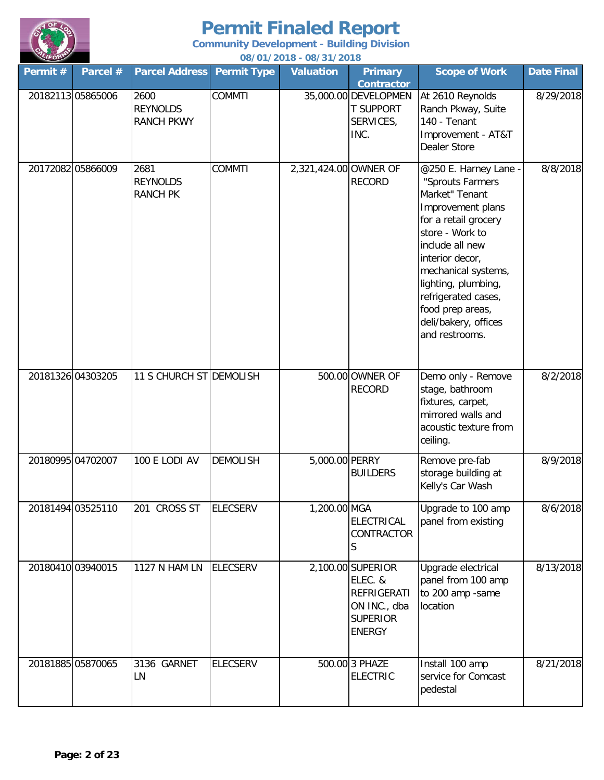

**Community Development - Building Division**

| LIFORD   |                   |                                              |                    | 08/01/2018 - 08/31/2018 |                                                                                                        |                                                                                                                                                                                                                                                                                                      |            |
|----------|-------------------|----------------------------------------------|--------------------|-------------------------|--------------------------------------------------------------------------------------------------------|------------------------------------------------------------------------------------------------------------------------------------------------------------------------------------------------------------------------------------------------------------------------------------------------------|------------|
| Permit # | Parcel #          | <b>Parcel Address</b>                        | <b>Permit Type</b> | <b>Valuation</b>        | <b>Primary</b><br><b>Contractor</b>                                                                    | <b>Scope of Work</b>                                                                                                                                                                                                                                                                                 | Date Final |
|          | 20182113 05865006 | 2600<br><b>REYNOLDS</b><br><b>RANCH PKWY</b> | <b>COMMTI</b>      |                         | 35,000.00 DEVELOPMEN<br><b>T SUPPORT</b><br>SERVICES,<br>INC.                                          | At 2610 Reynolds<br>Ranch Pkway, Suite<br>140 - Tenant<br>Improvement - AT&T<br><b>Dealer Store</b>                                                                                                                                                                                                  | 8/29/2018  |
|          | 20172082 05866009 | 2681<br><b>REYNOLDS</b><br><b>RANCH PK</b>   | <b>COMMTI</b>      | 2,321,424.00 OWNER OF   | <b>RECORD</b>                                                                                          | @250 E. Harney Lane -<br>"Sprouts Farmers<br>Market" Tenant<br>Improvement plans<br>for a retail grocery<br>store - Work to<br>include all new<br>interior decor,<br>mechanical systems,<br>lighting, plumbing,<br>refrigerated cases,<br>food prep areas,<br>deli/bakery, offices<br>and restrooms. | 8/8/2018   |
|          | 20181326 04303205 | 11 S CHURCH ST DEMOLISH                      |                    |                         | 500.00 OWNER OF<br><b>RECORD</b>                                                                       | Demo only - Remove<br>stage, bathroom<br>fixtures, carpet,<br>mirrored walls and<br>acoustic texture from<br>ceiling.                                                                                                                                                                                | 8/2/2018   |
|          | 20180995 04702007 | 100 E LODI AV                                | <b>DEMOLISH</b>    | 5,000.00 PERRY          | <b>BUILDERS</b>                                                                                        | Remove pre-fab<br>storage building at<br>Kelly's Car Wash                                                                                                                                                                                                                                            | 8/9/2018   |
|          | 20181494 03525110 | 201 CROSS ST                                 | <b>ELECSERV</b>    | 1,200.00 MGA            | <b>ELECTRICAL</b><br>CONTRACTOR<br>S                                                                   | Upgrade to 100 amp<br>panel from existing                                                                                                                                                                                                                                                            | 8/6/2018   |
|          | 20180410 03940015 | <b>1127 N HAM LN</b>                         | <b>ELECSERV</b>    |                         | 2,100.00 SUPERIOR<br>ELEC. &<br><b>REFRIGERATI</b><br>ON INC., dba<br><b>SUPERIOR</b><br><b>ENERGY</b> | Upgrade electrical<br>panel from 100 amp<br>to 200 amp -same<br>location                                                                                                                                                                                                                             | 8/13/2018  |
|          | 20181885 05870065 | 3136 GARNET<br>LN                            | <b>ELECSERV</b>    |                         | 500.00 3 PHAZE<br><b>ELECTRIC</b>                                                                      | Install 100 amp<br>service for Comcast<br>pedestal                                                                                                                                                                                                                                                   | 8/21/2018  |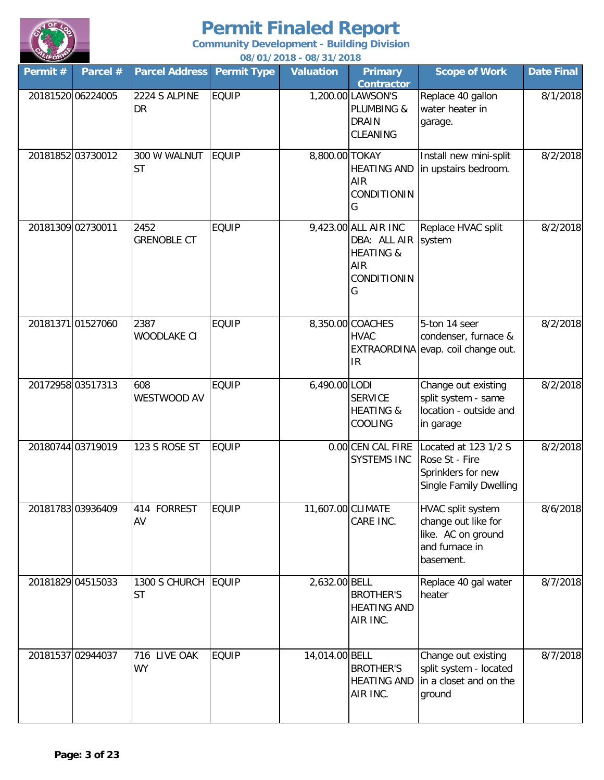

| Permit # | Parcel #          | <b>Parcel Address</b>      | <b>Permit Type</b> | <u>00/01/2010 - 00/31/2010</u><br><b>Valuation</b> | <b>Primary</b><br><b>Contractor</b>                                                            | <b>Scope of Work</b>                                                                          | <b>Date Final</b> |
|----------|-------------------|----------------------------|--------------------|----------------------------------------------------|------------------------------------------------------------------------------------------------|-----------------------------------------------------------------------------------------------|-------------------|
|          | 20181520 06224005 | 2224 S ALPINE<br>DR        | <b>EQUIP</b>       |                                                    | 1,200.00 LAWSON'S<br>PLUMBING &<br><b>DRAIN</b><br>CLEANING                                    | Replace 40 gallon<br>water heater in<br>garage.                                               | 8/1/2018          |
|          | 20181852 03730012 | 300 W WALNUT<br><b>ST</b>  | <b>EQUIP</b>       | 8,800.00 TOKAY                                     | <b>HEATING AND</b><br><b>AIR</b><br>CONDITIONIN<br>G                                           | Install new mini-split<br>in upstairs bedroom.                                                | 8/2/2018          |
|          | 20181309 02730011 | 2452<br><b>GRENOBLE CT</b> | <b>EQUIP</b>       |                                                    | 9,423.00 ALL AIR INC<br>DBA: ALL AIR system<br><b>HEATING &amp;</b><br>AIR<br>CONDITIONIN<br>G | Replace HVAC split                                                                            | 8/2/2018          |
|          | 2018137101527060  | 2387<br>WOODLAKE CI        | <b>EQUIP</b>       |                                                    | 8,350.00 COACHES<br><b>HVAC</b><br>IR                                                          | 5-ton 14 seer<br>condenser, furnace &<br>EXTRAORDINA evap. coil change out.                   | 8/2/2018          |
|          | 20172958 03517313 | 608<br>WESTWOOD AV         | <b>EQUIP</b>       | 6,490.00 LODI                                      | <b>SERVICE</b><br><b>HEATING &amp;</b><br>COOLING                                              | Change out existing<br>split system - same<br>location - outside and<br>in garage             | 8/2/2018          |
|          | 20180744 03719019 | 123 S ROSE ST              | <b>EQUIP</b>       |                                                    | 0.00 CEN CAL FIRE<br>SYSTEMS INC                                                               | Located at 123 1/2 S<br>Rose St - Fire<br>Sprinklers for new<br>Single Family Dwelling        | 8/2/2018          |
|          | 20181783 03936409 | 414 FORREST<br>AV          | <b>EQUIP</b>       | 11,607.00 CLIMATE                                  | CARE INC.                                                                                      | HVAC split system<br>change out like for<br>like. AC on ground<br>and furnace in<br>basement. | 8/6/2018          |
|          | 20181829 04515033 | 1300 S CHURCH<br><b>ST</b> | EQUIP              | 2,632.00 BELL                                      | <b>BROTHER'S</b><br><b>HEATING AND</b><br>AIR INC.                                             | Replace 40 gal water<br>heater                                                                | 8/7/2018          |
|          | 20181537 02944037 | 716 LIVE OAK<br><b>WY</b>  | <b>EQUIP</b>       | 14,014.00 BELL                                     | <b>BROTHER'S</b><br><b>HEATING AND</b><br>AIR INC.                                             | Change out existing<br>split system - located<br>in a closet and on the<br>ground             | 8/7/2018          |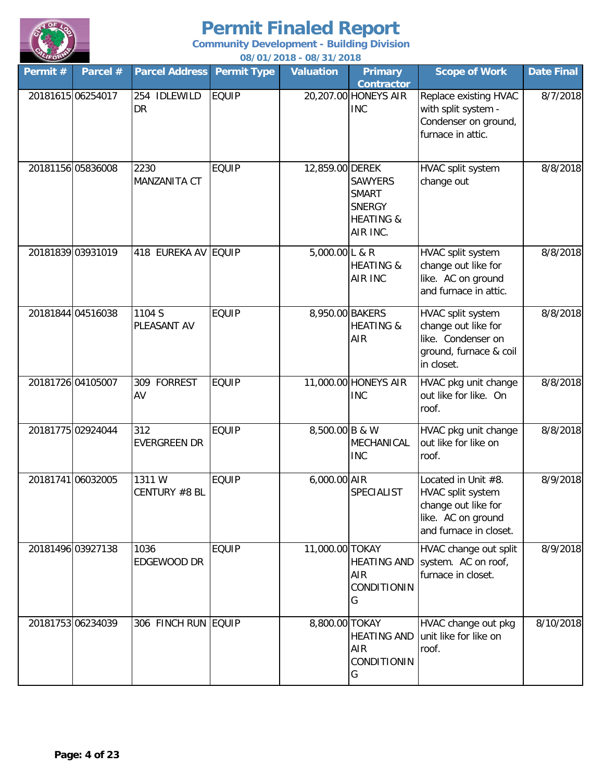

**Community Development - Building Division**

| LIFOR    |                   |                            |                    | 08/01/2018 - 08/31/2018     |                                                                                     |                                                                                                                 |            |
|----------|-------------------|----------------------------|--------------------|-----------------------------|-------------------------------------------------------------------------------------|-----------------------------------------------------------------------------------------------------------------|------------|
| Permit # | Parcel #          | <b>Parcel Address</b>      | <b>Permit Type</b> | <b>Valuation</b>            | <b>Primary</b>                                                                      | <b>Scope of Work</b>                                                                                            | Date Final |
|          | 20181615 06254017 | 254 IDLEWILD<br>DR         | <b>EQUIP</b>       |                             | <b>Contractor</b><br>20,207.00 HONEYS AIR<br><b>INC</b>                             | Replace existing HVAC<br>with split system -<br>Condenser on ground,<br>furnace in attic.                       | 8/7/2018   |
|          | 20181156 05836008 | 2230<br>MANZANITA CT       | <b>EQUIP</b>       | 12,859.00 DEREK             | <b>SAWYERS</b><br><b>SMART</b><br><b>SNERGY</b><br><b>HEATING &amp;</b><br>AIR INC. | HVAC split system<br>change out                                                                                 | 8/8/2018   |
|          | 20181839 03931019 | 418 EUREKA AV EQUIP        |                    | 5,000.00 L & $\overline{R}$ | <b>HEATING &amp;</b><br><b>AIR INC</b>                                              | HVAC split system<br>change out like for<br>like. AC on ground<br>and furnace in attic.                         | 8/8/2018   |
|          | 20181844 04516038 | 1104 S<br>PLEASANT AV      | <b>EQUIP</b>       | 8,950.00 BAKERS             | <b>HEATING &amp;</b><br>AIR                                                         | HVAC split system<br>change out like for<br>like. Condenser on<br>ground, furnace & coil<br>in closet.          | 8/8/2018   |
|          | 20181726 04105007 | 309 FORREST<br>AV          | <b>EQUIP</b>       |                             | 11,000.00 HONEYS AIR<br><b>INC</b>                                                  | HVAC pkg unit change<br>out like for like. On<br>roof.                                                          | 8/8/2018   |
|          | 20181775 02924044 | 312<br><b>EVERGREEN DR</b> | <b>EQUIP</b>       | 8,500.00 B & W              | MECHANICAL<br><b>INC</b>                                                            | HVAC pkg unit change<br>out like for like on<br>roof.                                                           | 8/8/2018   |
|          | 20181741 06032005 | 1311W<br>CENTURY #8 BL     | <b>EQUIP</b>       | 6,000.00 AIR                | <b>SPECIALIST</b>                                                                   | Located in Unit #8.<br>HVAC split system<br>change out like for<br>like. AC on ground<br>and furnace in closet. | 8/9/2018   |
|          | 20181496 03927138 | 1036<br>EDGEWOOD DR        | <b>EQUIP</b>       | 11,000.00 TOKAY             | <b>HEATING AND</b><br>AIR<br>CONDITIONIN<br>G                                       | HVAC change out split<br>system. AC on roof,<br>furnace in closet.                                              | 8/9/2018   |
|          | 20181753 06234039 | 306 FINCH RUN EQUIP        |                    | 8,800.00 TOKAY              | <b>HEATING AND</b><br>AIR<br>CONDITIONIN<br>G                                       | HVAC change out pkg<br>unit like for like on<br>roof.                                                           | 8/10/2018  |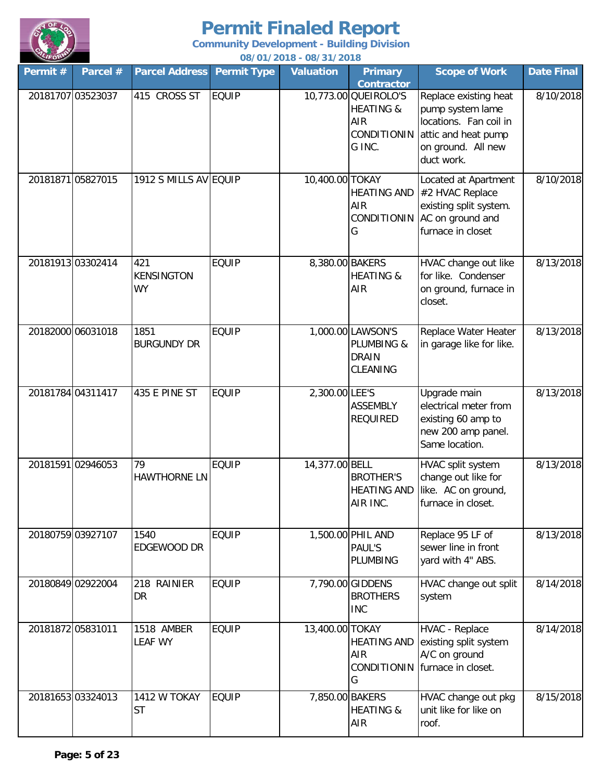

| Permit # | Parcel #          | <b>Parcel Address</b>                 | <b>Permit Type</b> | <b>Valuation</b> | <b>Primary</b><br><b>Contractor</b>                                          | <b>Scope of Work</b>                                                                                                           | <b>Date Final</b> |
|----------|-------------------|---------------------------------------|--------------------|------------------|------------------------------------------------------------------------------|--------------------------------------------------------------------------------------------------------------------------------|-------------------|
|          | 20181707 03523037 | 415 CROSS ST                          | <b>EQUIP</b>       |                  | 10,773.00 QUEIROLO'S<br><b>HEATING &amp;</b><br>AIR<br>CONDITIONIN<br>G INC. | Replace existing heat<br>pump system lame<br>locations. Fan coil in<br>attic and heat pump<br>on ground. All new<br>duct work. | 8/10/2018         |
|          | 20181871 05827015 | 1912 S MILLS AV EQUIP                 |                    | 10,400.00 TOKAY  | <b>HEATING AND</b><br>AIR<br>CONDITIONIN<br>G                                | Located at Apartment<br>#2 HVAC Replace<br>existing split system.<br>AC on ground and<br>furnace in closet                     | 8/10/2018         |
|          | 20181913 03302414 | 421<br><b>KENSINGTON</b><br><b>WY</b> | <b>EQUIP</b>       | 8,380.00 BAKERS  | <b>HEATING &amp;</b><br><b>AIR</b>                                           | HVAC change out like<br>for like. Condenser<br>on ground, furnace in<br>closet.                                                | 8/13/2018         |
|          | 20182000 06031018 | 1851<br><b>BURGUNDY DR</b>            | <b>EQUIP</b>       |                  | 1,000.00 LAWSON'S<br>PLUMBING &<br><b>DRAIN</b><br>CLEANING                  | Replace Water Heater<br>in garage like for like.                                                                               | 8/13/2018         |
|          | 20181784 04311417 | 435 E PINE ST                         | <b>EQUIP</b>       | 2,300.00 LEE'S   | <b>ASSEMBLY</b><br><b>REQUIRED</b>                                           | Upgrade main<br>electrical meter from<br>existing 60 amp to<br>new 200 amp panel.<br>Same location.                            | 8/13/2018         |
|          | 20181591 02946053 | 79<br><b>HAWTHORNE LN</b>             | <b>EQUIP</b>       | 14,377.00 BELL   | <b>BROTHER'S</b><br><b>HEATING AND</b><br>AIR INC.                           | HVAC split system<br>change out like for<br>like. AC on ground,<br>furnace in closet.                                          | 8/13/2018         |
|          | 20180759 03927107 | 1540<br>EDGEWOOD DR                   | <b>EQUIP</b>       |                  | 1,500.00 PHIL AND<br>PAUL'S<br>PLUMBING                                      | Replace 95 LF of<br>sewer line in front<br>yard with 4" ABS.                                                                   | 8/13/2018         |
|          | 20180849 02922004 | 218 RAINIER<br>DR                     | <b>EQUIP</b>       |                  | 7,790.00 GIDDENS<br><b>BROTHERS</b><br><b>INC</b>                            | HVAC change out split<br>system                                                                                                | 8/14/2018         |
|          | 20181872 05831011 | 1518 AMBER<br><b>LEAF WY</b>          | <b>EQUIP</b>       | 13,400.00 TOKAY  | <b>HEATING AND</b><br><b>AIR</b><br>G                                        | HVAC - Replace<br>existing split system<br>A/C on ground<br>CONDITIONIN furnace in closet.                                     | 8/14/2018         |
|          | 20181653 03324013 | 1412 W TOKAY<br><b>ST</b>             | <b>EQUIP</b>       | 7,850.00 BAKERS  | <b>HEATING &amp;</b><br>AIR                                                  | HVAC change out pkg<br>unit like for like on<br>roof.                                                                          | 8/15/2018         |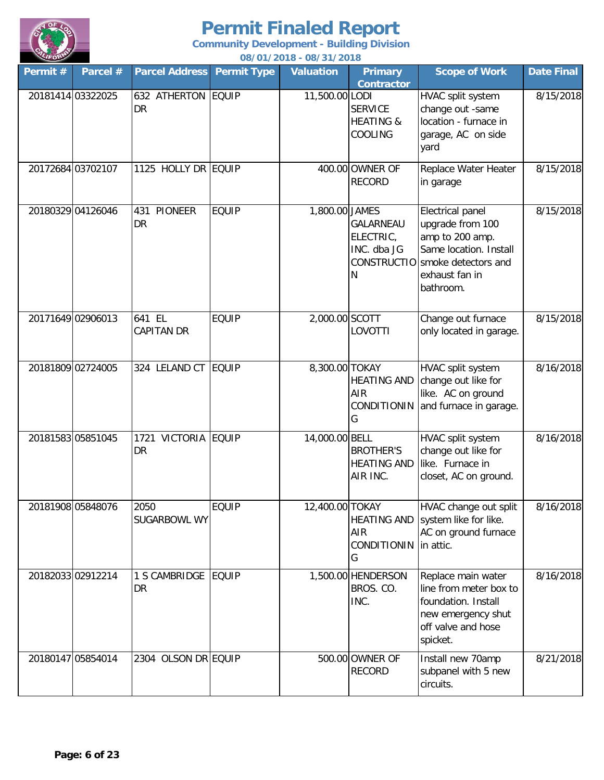

| Permit# | Parcel #          | <b>Parcel Address</b>               | <b>Permit Type</b> | 007 0 17 20 10 - 007 3 17 20 10<br><b>Valuation</b> | <b>Primary</b><br><b>Contractor</b>                  | <b>Scope of Work</b>                                                                                                                                       | <b>Date Final</b> |
|---------|-------------------|-------------------------------------|--------------------|-----------------------------------------------------|------------------------------------------------------|------------------------------------------------------------------------------------------------------------------------------------------------------------|-------------------|
|         | 20181414 03322025 | 632 ATHERTON EQUIP<br>DR            |                    | 11,500.00 LODI                                      | <b>SERVICE</b><br><b>HEATING &amp;</b><br>COOLING    | HVAC split system<br>change out -same<br>location - furnace in<br>garage, AC on side<br>yard                                                               | 8/15/2018         |
|         | 20172684 03702107 | 1125 HOLLY DR EQUIP                 |                    |                                                     | 400.00 OWNER OF<br><b>RECORD</b>                     | Replace Water Heater<br>in garage                                                                                                                          | 8/15/2018         |
|         | 20180329 04126046 | 431 PIONEER<br>DR                   | <b>EQUIP</b>       | 1,800.00 JAMES                                      | GALARNEAU<br>ELECTRIC,<br>INC. dba JG<br>N           | <b>Electrical panel</b><br>upgrade from 100<br>amp to 200 amp.<br>Same location. Install<br>CONSTRUCTIO smoke detectors and<br>exhaust fan in<br>bathroom. | 8/15/2018         |
|         | 20171649 02906013 | 641 EL<br><b>CAPITAN DR</b>         | <b>EQUIP</b>       | 2,000.00 SCOTT                                      | <b>LOVOTTI</b>                                       | Change out furnace<br>only located in garage.                                                                                                              | 8/15/2018         |
|         | 20181809 02724005 | 324 LELAND CT                       | <b>EQUIP</b>       | 8,300.00 TOKAY                                      | <b>HEATING AND</b><br>AIR<br><b>CONDITIONIN</b><br>G | HVAC split system<br>change out like for<br>like. AC on ground<br>and furnace in garage.                                                                   | 8/16/2018         |
|         | 20181583 05851045 | VICTORIA EQUIP<br>1721<br><b>DR</b> |                    | 14,000.00 BELL                                      | <b>BROTHER'S</b><br><b>HEATING AND</b><br>AIR INC.   | HVAC split system<br>change out like for<br>like. Furnace in<br>closet, AC on ground.                                                                      | 8/16/2018         |
|         | 20181908 05848076 | 2050<br>SUGARBOWL WY                | <b>EQUIP</b>       | 12,400.00 TOKAY                                     | <b>HEATING AND</b><br>AIR<br>CONDITIONIN<br>G        | HVAC change out split<br>system like for like.<br>AC on ground furnace<br>in attic.                                                                        | 8/16/2018         |
|         | 20182033 02912214 | 1 S CAMBRIDGE EQUIP<br>DR           |                    |                                                     | 1,500.00 HENDERSON<br>BROS. CO.<br>INC.              | Replace main water<br>line from meter box to<br>foundation. Install<br>new emergency shut<br>off valve and hose<br>spicket.                                | 8/16/2018         |
|         | 20180147 05854014 | 2304 OLSON DR EQUIP                 |                    |                                                     | 500.00 OWNER OF<br><b>RECORD</b>                     | Install new 70amp<br>subpanel with 5 new<br>circuits.                                                                                                      | 8/21/2018         |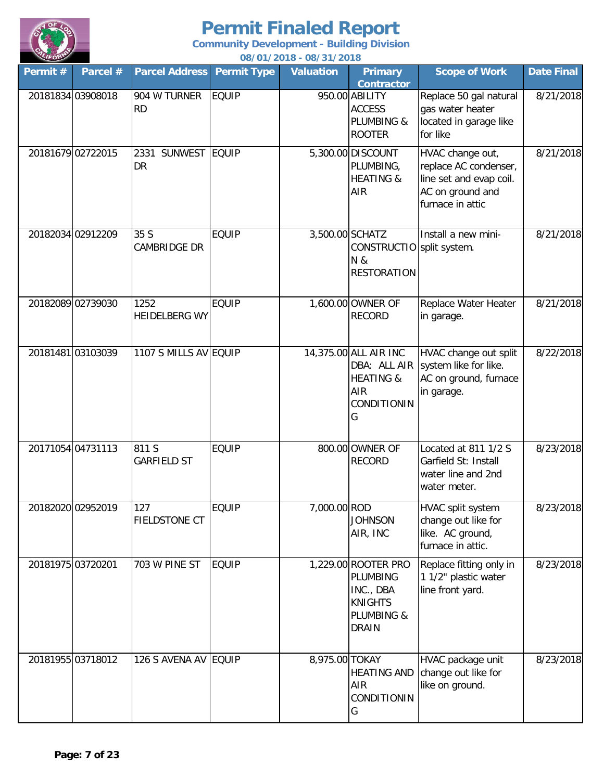

| Permit # | Parcel #          | <b>Parcel Address</b>        | <b>Permit Type</b> | <b>Valuation</b> | <b>Primary</b><br><b>Contractor</b>                                                          | <b>Scope of Work</b>                                                                                         | Date Final |
|----------|-------------------|------------------------------|--------------------|------------------|----------------------------------------------------------------------------------------------|--------------------------------------------------------------------------------------------------------------|------------|
|          | 20181834 03908018 | 904 W TURNER<br><b>RD</b>    | <b>EQUIP</b>       |                  | 950.00 ABILITY<br><b>ACCESS</b><br>PLUMBING &<br><b>ROOTER</b>                               | Replace 50 gal natural<br>gas water heater<br>located in garage like<br>for like                             | 8/21/2018  |
|          | 20181679 02722015 | SUNWEST EQUIP<br>2331<br>DR  |                    |                  | 5,300.00 DISCOUNT<br>PLUMBING,<br><b>HEATING &amp;</b><br>AIR                                | HVAC change out,<br>replace AC condenser,<br>line set and evap coil.<br>AC on ground and<br>furnace in attic | 8/21/2018  |
|          | 20182034 02912209 | 35 S<br>CAMBRIDGE DR         | <b>EQUIP</b>       |                  | 3,500.00 SCHATZ<br>CONSTRUCTIO split system.<br>N &<br>RESTORATION                           | Install a new mini-                                                                                          | 8/21/2018  |
|          | 20182089 02739030 | 1252<br><b>HEIDELBERG WY</b> | <b>EQUIP</b>       |                  | 1,600.00 OWNER OF<br><b>RECORD</b>                                                           | Replace Water Heater<br>in garage.                                                                           | 8/21/2018  |
|          | 20181481 03103039 | 1107 S MILLS AV EQUIP        |                    |                  | 14,375.00 ALL AIR INC<br>DBA: ALL AIR<br><b>HEATING &amp;</b><br>AIR<br>CONDITIONIN<br>G     | HVAC change out split<br>system like for like.<br>AC on ground, furnace<br>in garage.                        | 8/22/2018  |
|          | 20171054 04731113 | 811 S<br><b>GARFIELD ST</b>  | <b>EQUIP</b>       |                  | 800.00 OWNER OF<br><b>RECORD</b>                                                             | Located at 811 1/2 S<br>Garfield St: Install<br>water line and 2nd<br>water meter.                           | 8/23/2018  |
|          | 20182020 02952019 | 127<br>FIELDSTONE CT         | <b>EQUIP</b>       | 7,000.00 ROD     | <b>JOHNSON</b><br>AIR, INC                                                                   | HVAC split system<br>change out like for<br>like. AC ground,<br>furnace in attic.                            | 8/23/2018  |
|          | 20181975 03720201 | 703 W PINE ST                | <b>EQUIP</b>       |                  | 1,229.00 ROOTER PRO<br>PLUMBING<br>INC., DBA<br><b>KNIGHTS</b><br>PLUMBING &<br><b>DRAIN</b> | Replace fitting only in<br>1 1/2" plastic water<br>line front yard.                                          | 8/23/2018  |
|          | 20181955 03718012 | 126 S AVENA AV EQUIP         |                    | 8,975.00 TOKAY   | <b>HEATING AND</b><br>AIR<br>CONDITIONIN<br>G                                                | HVAC package unit<br>change out like for<br>like on ground.                                                  | 8/23/2018  |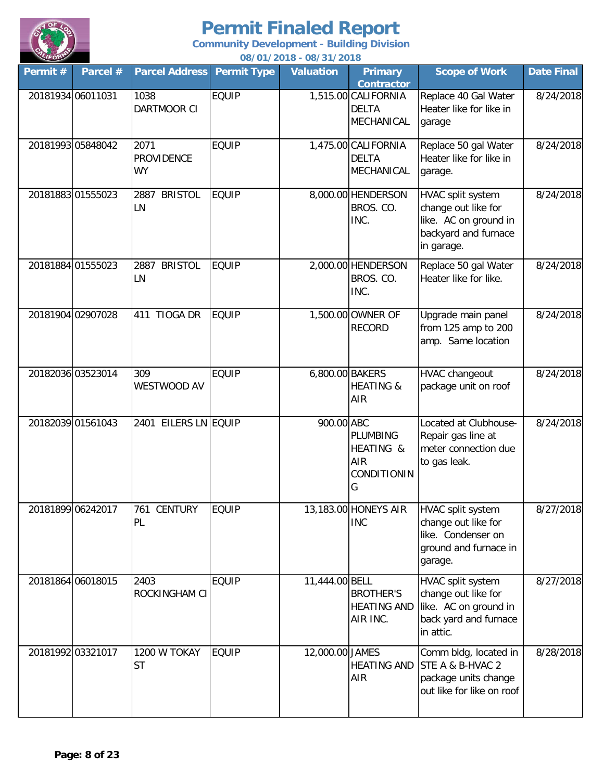

| Permit #          | Parcel #          | <b>Parcel Address</b>                  | <b>Permit Type</b> | <b>Valuation</b> | <b>Primary</b><br><b>Contractor</b>                            | <b>Scope of Work</b>                                                                                    | <b>Date Final</b> |
|-------------------|-------------------|----------------------------------------|--------------------|------------------|----------------------------------------------------------------|---------------------------------------------------------------------------------------------------------|-------------------|
|                   | 20181934 06011031 | 1038<br><b>DARTMOOR CI</b>             | <b>EQUIP</b>       |                  | 1,515.00 CALIFORNIA<br><b>DELTA</b><br>MECHANICAL              | Replace 40 Gal Water<br>Heater like for like in<br>garage                                               | 8/24/2018         |
|                   | 20181993 05848042 | 2071<br><b>PROVIDENCE</b><br><b>WY</b> | <b>EQUIP</b>       |                  | 1,475.00 CALIFORNIA<br><b>DELTA</b><br>MECHANICAL              | Replace 50 gal Water<br>Heater like for like in<br>garage.                                              | 8/24/2018         |
|                   | 2018188301555023  | <b>BRISTOL</b><br>2887<br>LN           | <b>EQUIP</b>       |                  | 8,000.00 HENDERSON<br>BROS. CO.<br>INC.                        | HVAC split system<br>change out like for<br>like. AC on ground in<br>backyard and furnace<br>in garage. | 8/24/2018         |
|                   | 20181884 01555023 | <b>BRISTOL</b><br>2887<br>LN           | <b>EQUIP</b>       |                  | 2,000.00 HENDERSON<br>BROS. CO.<br>INC.                        | Replace 50 gal Water<br>Heater like for like.                                                           | 8/24/2018         |
|                   | 20181904 02907028 | 411 TIOGA DR                           | <b>EQUIP</b>       |                  | 1,500.00 OWNER OF<br><b>RECORD</b>                             | Upgrade main panel<br>from 125 amp to 200<br>amp. Same location                                         | 8/24/2018         |
|                   | 20182036 03523014 | 309<br>WESTWOOD AV                     | <b>EQUIP</b>       | 6,800.00 BAKERS  | <b>HEATING &amp;</b><br>AIR                                    | HVAC changeout<br>package unit on roof                                                                  | 8/24/2018         |
|                   | 20182039 01561043 | 2401 EILERS LN EQUIP                   |                    | 900.00 ABC       | <b>PLUMBING</b><br>HEATING &<br>AIR<br><b>CONDITIONIN</b><br>G | Located at Clubhouse-<br>Repair gas line at<br>meter connection due<br>to gas leak.                     | 8/24/2018         |
| 20181899 06242017 |                   | 761 CENTURY<br>PL                      | <b>EQUIP</b>       |                  | 13,183.00 HONEYS AIR<br><b>INC</b>                             | HVAC split system<br>change out like for<br>like. Condenser on<br>ground and furnace in<br>garage.      | 8/27/2018         |
|                   | 20181864 06018015 | 2403<br>ROCKINGHAM CI                  | <b>EQUIP</b>       | 11,444.00 BELL   | <b>BROTHER'S</b><br><b>HEATING AND</b><br>AIR INC.             | HVAC split system<br>change out like for<br>like. AC on ground in<br>back yard and furnace<br>in attic. | 8/27/2018         |
|                   | 20181992 03321017 | 1200 W TOKAY<br>ST                     | <b>EQUIP</b>       | 12,000.00 JAMES  | <b>HEATING AND</b><br>AIR                                      | Comm bldg, located in<br>STE A & B-HVAC 2<br>package units change<br>out like for like on roof          | 8/28/2018         |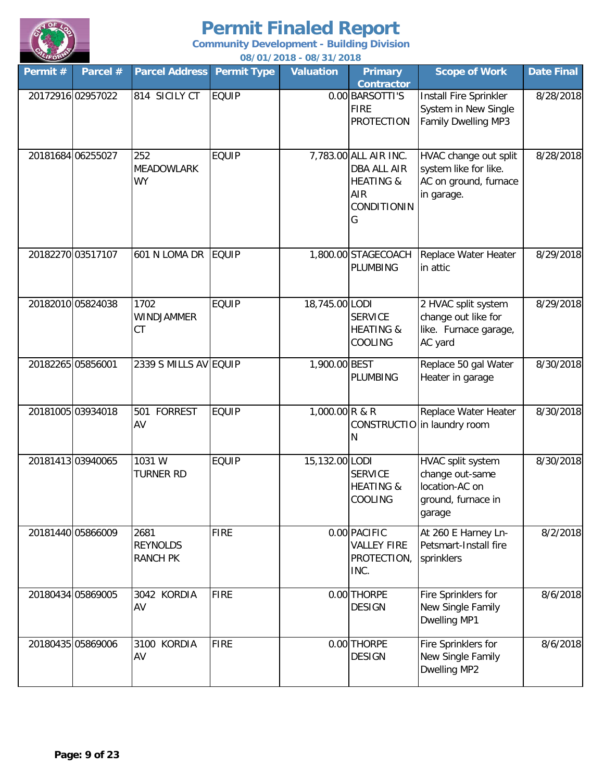

| Permit # | Parcel #          | <b>Parcel Address</b>                      | <b>Permit Type</b> | 007 0 17 20 10 - 007 3 17 20 10<br><b>Valuation</b> | <b>Primary</b>                                                                                        | <b>Scope of Work</b>                                                                   | <b>Date Final</b> |
|----------|-------------------|--------------------------------------------|--------------------|-----------------------------------------------------|-------------------------------------------------------------------------------------------------------|----------------------------------------------------------------------------------------|-------------------|
|          | 20172916 02957022 | 814 SICILY CT                              | <b>EQUIP</b>       |                                                     | <b>Contractor</b><br>0.00 BARSOTTI'S<br><b>FIRE</b><br><b>PROTECTION</b>                              | Install Fire Sprinkler<br>System in New Single<br>Family Dwelling MP3                  | 8/28/2018         |
|          | 20181684 06255027 | 252<br><b>MEADOWLARK</b><br><b>WY</b>      | <b>EQUIP</b>       |                                                     | 7,783.00 ALL AIR INC.<br><b>DBA ALL AIR</b><br><b>HEATING &amp;</b><br><b>AIR</b><br>CONDITIONIN<br>G | HVAC change out split<br>system like for like.<br>AC on ground, furnace<br>in garage.  | 8/28/2018         |
|          | 20182270 03517107 | 601 N LOMA DR                              | <b>EQUIP</b>       |                                                     | 1,800.00 STAGECOACH<br><b>PLUMBING</b>                                                                | Replace Water Heater<br>in attic                                                       | 8/29/2018         |
|          | 20182010 05824038 | 1702<br>WINDJAMMER<br>CT                   | <b>EQUIP</b>       | 18,745.00 LODI                                      | <b>SERVICE</b><br><b>HEATING &amp;</b><br><b>COOLING</b>                                              | 2 HVAC split system<br>change out like for<br>like. Furnace garage,<br>AC yard         | 8/29/2018         |
|          | 20182265 05856001 | 2339 S MILLS AV EQUIP                      |                    | 1,900.00 BEST                                       | <b>PLUMBING</b>                                                                                       | Replace 50 gal Water<br>Heater in garage                                               | 8/30/2018         |
|          | 20181005 03934018 | 501<br><b>FORREST</b><br>AV                | <b>EQUIP</b>       | 1,000.00 R & R                                      | N                                                                                                     | Replace Water Heater<br>CONSTRUCTIO in laundry room                                    | 8/30/2018         |
|          | 20181413 03940065 | 1031 W<br><b>TURNER RD</b>                 | <b>EQUIP</b>       | 15,132.00 LODI                                      | <b>SERVICE</b><br><b>HEATING &amp;</b><br>COOLING                                                     | HVAC split system<br>change out-same<br>location-AC on<br>ground, furnace in<br>garage | 8/30/2018         |
|          | 20181440 05866009 | 2681<br><b>REYNOLDS</b><br><b>RANCH PK</b> | <b>FIRE</b>        |                                                     | 0.00 PACIFIC<br><b>VALLEY FIRE</b><br>PROTECTION,<br>INC.                                             | At 260 E Harney Ln-<br>Petsmart-Install fire<br>sprinklers                             | 8/2/2018          |
|          | 20180434 05869005 | 3042 KORDIA<br>AV                          | <b>FIRE</b>        |                                                     | 0.00 THORPE<br><b>DESIGN</b>                                                                          | Fire Sprinklers for<br>New Single Family<br>Dwelling MP1                               | 8/6/2018          |
|          | 20180435 05869006 | 3100 KORDIA<br>AV                          | <b>FIRE</b>        |                                                     | 0.00 THORPE<br><b>DESIGN</b>                                                                          | Fire Sprinklers for<br>New Single Family<br>Dwelling MP2                               | 8/6/2018          |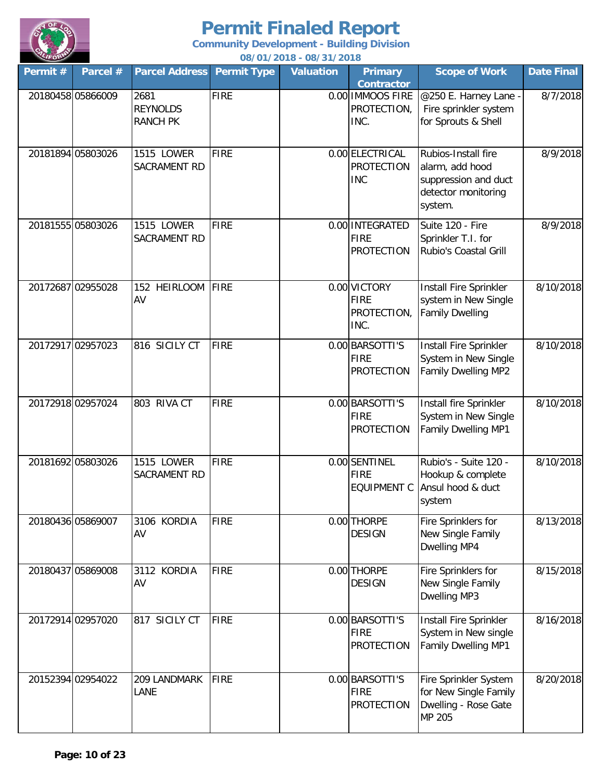

| Permit # | Parcel #          | <b>Parcel Address</b>                      | <b>Permit Type</b> | 007 0 17 20 10 - 007 3 17 20 10<br><b>Valuation</b> | <b>Primary</b><br><b>Contractor</b>                 | <b>Scope of Work</b>                                                                             | <b>Date Final</b> |
|----------|-------------------|--------------------------------------------|--------------------|-----------------------------------------------------|-----------------------------------------------------|--------------------------------------------------------------------------------------------------|-------------------|
|          | 20180458 05866009 | 2681<br><b>REYNOLDS</b><br><b>RANCH PK</b> | <b>FIRE</b>        |                                                     | 0.00 IMMOOS FIRE<br>PROTECTION,<br>INC.             | @250 E. Harney Lane -<br>Fire sprinkler system<br>for Sprouts & Shell                            | 8/7/2018          |
|          | 20181894 05803026 | 1515 LOWER<br>SACRAMENT RD                 | <b>FIRE</b>        |                                                     | 0.00 ELECTRICAL<br><b>PROTECTION</b><br><b>INC</b>  | Rubios-Install fire<br>alarm, add hood<br>suppression and duct<br>detector monitoring<br>system. | 8/9/2018          |
|          | 20181555 05803026 | 1515 LOWER<br>SACRAMENT RD                 | <b>FIRE</b>        |                                                     | 0.00 INTEGRATED<br><b>FIRE</b><br><b>PROTECTION</b> | Suite 120 - Fire<br>Sprinkler T.I. for<br>Rubio's Coastal Grill                                  | 8/9/2018          |
|          | 20172687 02955028 | 152 HEIRLOOM<br>AV                         | FIRE               |                                                     | 0.00 VICTORY<br><b>FIRE</b><br>PROTECTION,<br>INC.  | Install Fire Sprinkler<br>system in New Single<br><b>Family Dwelling</b>                         | 8/10/2018         |
|          | 20172917 02957023 | 816 SICILY CT                              | <b>FIRE</b>        |                                                     | 0.00 BARSOTTI'S<br><b>FIRE</b><br><b>PROTECTION</b> | Install Fire Sprinkler<br>System in New Single<br>Family Dwelling MP2                            | 8/10/2018         |
|          | 20172918 02957024 | 803 RIVA CT                                | <b>FIRE</b>        |                                                     | 0.00 BARSOTTI'S<br><b>FIRE</b><br><b>PROTECTION</b> | Install fire Sprinkler<br>System in New Single<br>Family Dwelling MP1                            | 8/10/2018         |
|          | 20181692 05803026 | 1515 LOWER<br><b>SACRAMENT RD</b>          | <b>FIRE</b>        |                                                     | 0.00 SENTINEL<br><b>FIRE</b><br><b>EQUIPMENT C</b>  | Rubio's - Suite 120 -<br>Hookup & complete<br>Ansul hood & duct<br>system                        | 8/10/2018         |
|          | 20180436 05869007 | 3106 KORDIA<br>AV                          | <b>FIRE</b>        |                                                     | 0.00 THORPE<br><b>DESIGN</b>                        | Fire Sprinklers for<br>New Single Family<br>Dwelling MP4                                         | 8/13/2018         |
|          | 20180437 05869008 | 3112 KORDIA<br>AV                          | <b>FIRE</b>        |                                                     | 0.00 THORPE<br><b>DESIGN</b>                        | Fire Sprinklers for<br>New Single Family<br>Dwelling MP3                                         | 8/15/2018         |
|          | 20172914 02957020 | 817 SICILY CT                              | <b>FIRE</b>        |                                                     | 0.00 BARSOTTI'S<br><b>FIRE</b><br><b>PROTECTION</b> | Install Fire Sprinkler<br>System in New single<br><b>Family Dwelling MP1</b>                     | 8/16/2018         |
|          | 20152394 02954022 | 209 LANDMARK<br>LANE                       | <b>FIRE</b>        |                                                     | 0.00 BARSOTTI'S<br><b>FIRE</b><br><b>PROTECTION</b> | Fire Sprinkler System<br>for New Single Family<br>Dwelling - Rose Gate<br>MP 205                 | 8/20/2018         |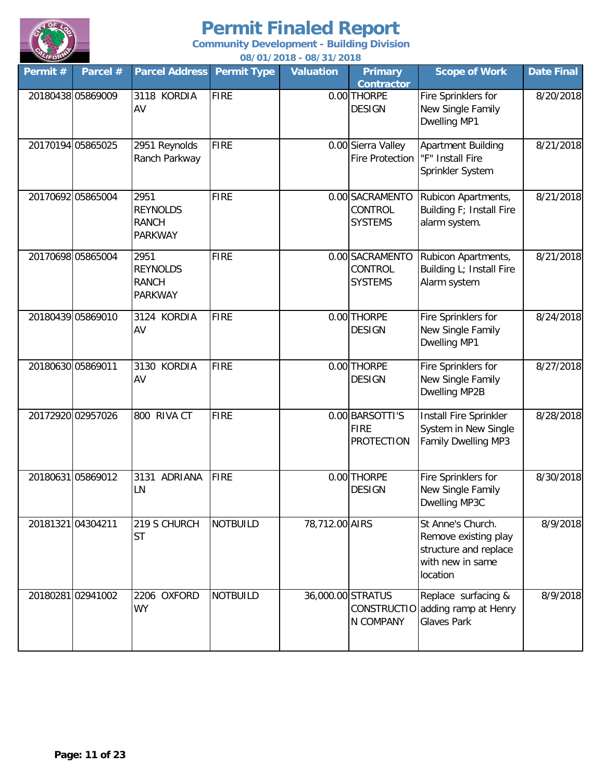

| Permit#           | Parcel #          | <b>Parcel Address</b>                                     | <b>Permit Type</b> | <u>007 017 2010 - 007 317 2010</u><br><b>Valuation</b> | <b>Primary</b><br><b>Contractor</b>                 | <b>Scope of Work</b>                                                                               | <b>Date Final</b> |
|-------------------|-------------------|-----------------------------------------------------------|--------------------|--------------------------------------------------------|-----------------------------------------------------|----------------------------------------------------------------------------------------------------|-------------------|
|                   | 20180438 05869009 | 3118 KORDIA<br>AV                                         | <b>FIRE</b>        |                                                        | 0.00 THORPE<br><b>DESIGN</b>                        | Fire Sprinklers for<br>New Single Family<br>Dwelling MP1                                           | 8/20/2018         |
|                   | 20170194 05865025 | 2951 Reynolds<br>Ranch Parkway                            | <b>FIRE</b>        |                                                        | 0.00 Sierra Valley<br><b>Fire Protection</b>        | <b>Apartment Building</b><br>"F" Install Fire<br>Sprinkler System                                  | 8/21/2018         |
|                   | 20170692 05865004 | 2951<br><b>REYNOLDS</b><br><b>RANCH</b><br><b>PARKWAY</b> | <b>FIRE</b>        |                                                        | 0.00 SACRAMENTO<br>CONTROL<br><b>SYSTEMS</b>        | Rubicon Apartments,<br>Building F; Install Fire<br>alarm system.                                   | 8/21/2018         |
|                   | 20170698 05865004 | 2951<br><b>REYNOLDS</b><br><b>RANCH</b><br><b>PARKWAY</b> | <b>FIRE</b>        |                                                        | 0.00 SACRAMENTO<br>CONTROL<br><b>SYSTEMS</b>        | Rubicon Apartments,<br>Building L; Install Fire<br>Alarm system                                    | 8/21/2018         |
|                   | 20180439 05869010 | 3124 KORDIA<br>AV                                         | <b>FIRE</b>        |                                                        | 0.00 THORPE<br><b>DESIGN</b>                        | Fire Sprinklers for<br>New Single Family<br>Dwelling MP1                                           | 8/24/2018         |
| 20180630 05869011 |                   | 3130 KORDIA<br>AV                                         | <b>FIRE</b>        |                                                        | 0.00 THORPE<br><b>DESIGN</b>                        | Fire Sprinklers for<br>New Single Family<br>Dwelling MP2B                                          | 8/27/2018         |
|                   | 20172920 02957026 | 800 RIVA CT                                               | <b>FIRE</b>        |                                                        | 0.00 BARSOTTI'S<br><b>FIRE</b><br><b>PROTECTION</b> | Install Fire Sprinkler<br>System in New Single<br>Family Dwelling MP3                              | 8/28/2018         |
|                   | 2018063105869012  | 3131 ADRIANA<br>LN                                        | <b>FIRE</b>        |                                                        | 0.00 THORPE<br><b>DESIGN</b>                        | Fire Sprinklers for<br>New Single Family<br>Dwelling MP3C                                          | 8/30/2018         |
|                   | 20181321 04304211 | 219 S CHURCH<br><b>ST</b>                                 | <b>NOTBUILD</b>    | 78,712.00 AIRS                                         |                                                     | St Anne's Church.<br>Remove existing play<br>structure and replace<br>with new in same<br>location | 8/9/2018          |
|                   | 2018028102941002  | 2206 OXFORD<br><b>WY</b>                                  | <b>NOTBUILD</b>    |                                                        | 36,000.00 STRATUS<br>N COMPANY                      | Replace surfacing &<br>CONSTRUCTIO adding ramp at Henry<br><b>Glaves Park</b>                      | 8/9/2018          |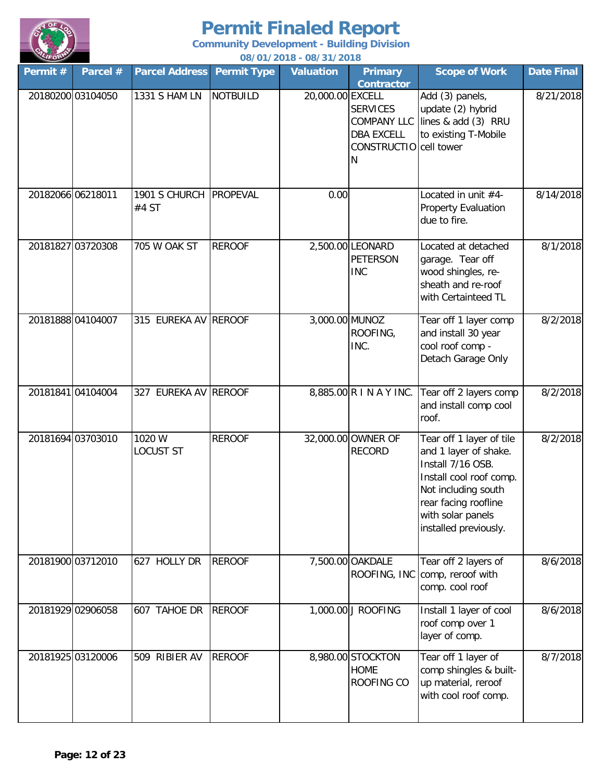

| Permit # | Parcel #          | <b>Parcel Address</b>      | <b>Permit Type</b> | <b>Valuation</b> | <b>Primary</b><br><b>Contractor</b>                                                       | <b>Scope of Work</b>                                                                                                                                                                           | <b>Date Final</b> |
|----------|-------------------|----------------------------|--------------------|------------------|-------------------------------------------------------------------------------------------|------------------------------------------------------------------------------------------------------------------------------------------------------------------------------------------------|-------------------|
|          | 20180200 03104050 | 1331 S HAM LN              | <b>NOTBUILD</b>    | 20,000.00 EXCELL | <b>SERVICES</b><br><b>COMPANY LLC</b><br><b>DBA EXCELL</b><br>CONSTRUCTIO cell tower<br>N | Add (3) panels,<br>update (2) hybrid<br>lines & add (3) RRU<br>to existing T-Mobile                                                                                                            | 8/21/2018         |
|          | 20182066 06218011 | 1901 S CHURCH<br>#4 ST     | <b>PROPEVAL</b>    | 0.00             |                                                                                           | Located in unit $#4-$<br><b>Property Evaluation</b><br>due to fire.                                                                                                                            | 8/14/2018         |
|          | 20181827 03720308 | 705 W OAK ST               | <b>REROOF</b>      |                  | 2,500.00 LEONARD<br><b>PETERSON</b><br><b>INC</b>                                         | Located at detached<br>garage. Tear off<br>wood shingles, re-<br>sheath and re-roof<br>with Certainteed TL                                                                                     | 8/1/2018          |
|          | 20181888 04104007 | 315 EUREKA AV REROOF       |                    | 3,000.00 MUNOZ   | ROOFING,<br>INC.                                                                          | Tear off 1 layer comp<br>and install 30 year<br>cool roof comp -<br>Detach Garage Only                                                                                                         | 8/2/2018          |
|          | 20181841 04104004 | 327 EUREKA AV              | <b>REROOF</b>      |                  | 8,885.00 R I N A Y INC.                                                                   | Tear off 2 layers comp<br>and install comp cool<br>roof.                                                                                                                                       | 8/2/2018          |
|          | 20181694 03703010 | 1020 W<br><b>LOCUST ST</b> | <b>REROOF</b>      |                  | 32,000.00 OWNER OF<br><b>RECORD</b>                                                       | Tear off 1 layer of tile<br>and 1 layer of shake.<br>Install 7/16 OSB.<br>Install cool roof comp.<br>Not including south<br>rear facing roofline<br>with solar panels<br>installed previously. | 8/2/2018          |
|          | 20181900 03712010 | 627 HOLLY DR               | <b>REROOF</b>      |                  | 7,500.00 OAKDALE                                                                          | Tear off 2 layers of<br>ROOFING, INC comp, reroof with<br>comp. cool roof                                                                                                                      | 8/6/2018          |
|          | 20181929 02906058 | 607 TAHOE DR               | <b>REROOF</b>      |                  | 1,000.00 J ROOFING                                                                        | Install 1 layer of cool<br>roof comp over 1<br>layer of comp.                                                                                                                                  | 8/6/2018          |
|          | 20181925 03120006 | 509 RIBIER AV              | <b>REROOF</b>      |                  | 8,980.00 STOCKTON<br><b>HOME</b><br>ROOFING CO                                            | Tear off 1 layer of<br>comp shingles & built-<br>up material, reroof<br>with cool roof comp.                                                                                                   | 8/7/2018          |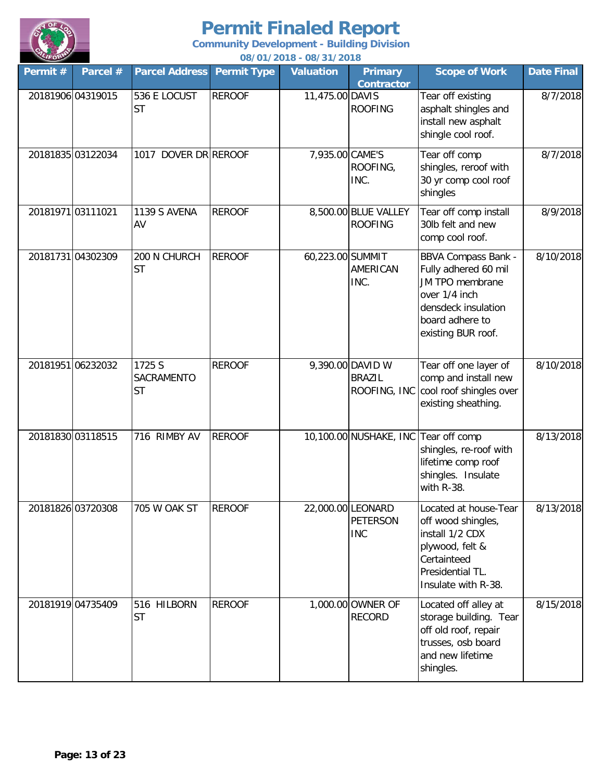

| Permit #          | Parcel #          | <b>Parcel Address</b>                    | <b>Permit Type</b> | 007 0 17 20 10 - 007 3 17 20 10<br><b>Valuation</b> | <b>Primary</b><br><b>Contractor</b>                | <b>Scope of Work</b>                                                                                                                                   | <b>Date Final</b> |
|-------------------|-------------------|------------------------------------------|--------------------|-----------------------------------------------------|----------------------------------------------------|--------------------------------------------------------------------------------------------------------------------------------------------------------|-------------------|
|                   | 20181906 04319015 | 536 E LOCUST<br><b>ST</b>                | <b>REROOF</b>      | 11,475.00 DAVIS                                     | <b>ROOFING</b>                                     | Tear off existing<br>asphalt shingles and<br>install new asphalt<br>shingle cool roof.                                                                 | 8/7/2018          |
|                   | 20181835 03122034 | 1017 DOVER DR REROOF                     |                    | 7,935.00 CAME'S                                     | ROOFING,<br>INC.                                   | Tear off comp<br>shingles, reroof with<br>30 yr comp cool roof<br>shingles                                                                             | 8/7/2018          |
| 20181971 03111021 |                   | 1139 S AVENA<br>AV                       | <b>REROOF</b>      |                                                     | 8,500.00 BLUE VALLEY<br><b>ROOFING</b>             | Tear off comp install<br>30lb felt and new<br>comp cool roof.                                                                                          | 8/9/2018          |
|                   | 20181731 04302309 | 200 N CHURCH<br><b>ST</b>                | <b>REROOF</b>      | 60,223.00 SUMMIT                                    | AMERICAN<br>INC.                                   | <b>BBVA Compass Bank -</b><br>Fully adhered 60 mil<br>JM TPO membrane<br>over 1/4 inch<br>densdeck insulation<br>board adhere to<br>existing BUR roof. | 8/10/2018         |
|                   | 20181951 06232032 | 1725 S<br><b>SACRAMENTO</b><br><b>ST</b> | <b>REROOF</b>      |                                                     | 9,390.00 DAVID W<br><b>BRAZIL</b>                  | Tear off one layer of<br>comp and install new<br>ROOFING, INC cool roof shingles over<br>existing sheathing.                                           | 8/10/2018         |
|                   | 20181830 03118515 | 716 RIMBY AV                             | <b>REROOF</b>      |                                                     | 10,100.00 NUSHAKE, INC Tear off comp               | shingles, re-roof with<br>lifetime comp roof<br>shingles. Insulate<br>with R-38.                                                                       | 8/13/2018         |
|                   | 20181826 03720308 | 705 W OAK ST                             | <b>REROOF</b>      |                                                     | 22,000.00 LEONARD<br><b>PETERSON</b><br><b>INC</b> | Located at house-Tear<br>off wood shingles,<br>install 1/2 CDX<br>plywood, felt &<br>Certainteed<br>Presidential TL.<br>Insulate with R-38.            | 8/13/2018         |
|                   | 20181919 04735409 | 516 HILBORN<br><b>ST</b>                 | <b>REROOF</b>      |                                                     | 1,000.00 OWNER OF<br><b>RECORD</b>                 | Located off alley at<br>storage building. Tear<br>off old roof, repair<br>trusses, osb board<br>and new lifetime<br>shingles.                          | 8/15/2018         |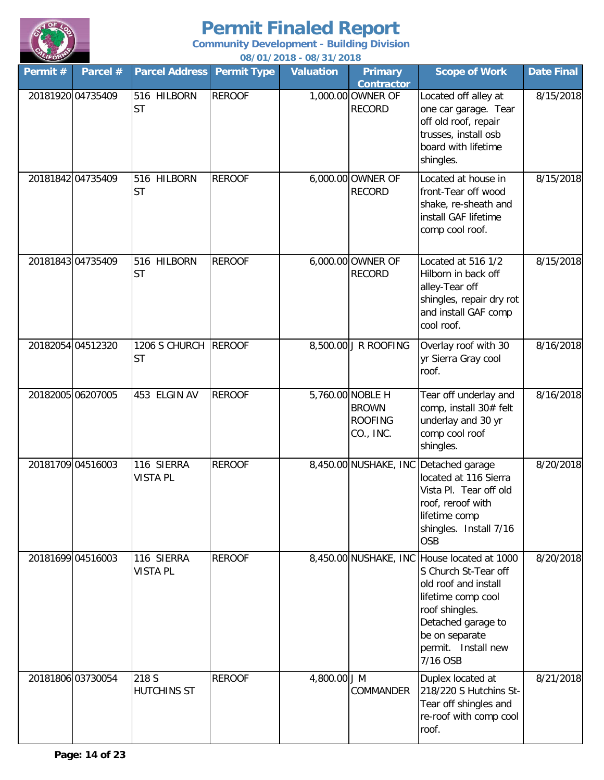

**Community Development - Building Division**

| <b>LIFOR</b>      |          |                               |                    | 08/01/2018 - 08/31/2018 |                                                                 |                                                                                                                                                                                                                |                   |
|-------------------|----------|-------------------------------|--------------------|-------------------------|-----------------------------------------------------------------|----------------------------------------------------------------------------------------------------------------------------------------------------------------------------------------------------------------|-------------------|
| Permit #          | Parcel # | <b>Parcel Address</b>         | <b>Permit Type</b> | <b>Valuation</b>        | <b>Primary</b><br><b>Contractor</b>                             | <b>Scope of Work</b>                                                                                                                                                                                           | <b>Date Final</b> |
| 20181920 04735409 |          | 516 HILBORN<br><b>ST</b>      | <b>REROOF</b>      |                         | 1,000.00 OWNER OF<br><b>RECORD</b>                              | Located off alley at<br>one car garage. Tear<br>off old roof, repair<br>trusses, install osb<br>board with lifetime<br>shingles.                                                                               | 8/15/2018         |
| 20181842 04735409 |          | 516 HILBORN<br><b>ST</b>      | <b>REROOF</b>      |                         | 6,000.00 OWNER OF<br><b>RECORD</b>                              | Located at house in<br>front-Tear off wood<br>shake, re-sheath and<br>install GAF lifetime<br>comp cool roof.                                                                                                  | 8/15/2018         |
| 20181843 04735409 |          | 516 HILBORN<br><b>ST</b>      | <b>REROOF</b>      |                         | 6,000.00 OWNER OF<br><b>RECORD</b>                              | Located at 516 1/2<br>Hilborn in back off<br>alley-Tear off<br>shingles, repair dry rot<br>and install GAF comp<br>cool roof.                                                                                  | 8/15/2018         |
| 20182054 04512320 |          | 1206 S CHURCH<br><b>ST</b>    | <b>REROOF</b>      |                         | 8,500.00 J R ROOFING                                            | Overlay roof with 30<br>yr Sierra Gray cool<br>roof.                                                                                                                                                           | 8/16/2018         |
| 20182005 06207005 |          | 453 ELGIN AV                  | <b>REROOF</b>      |                         | 5,760.00 NOBLE H<br><b>BROWN</b><br><b>ROOFING</b><br>CO., INC. | Tear off underlay and<br>comp, install 30# felt<br>underlay and 30 yr<br>comp cool roof<br>shingles.                                                                                                           | 8/16/2018         |
| 20181709 04516003 |          | 116 SIERRA<br><b>VISTA PL</b> | <b>REROOF</b>      |                         | 8,450.00 NUSHAKE, INC                                           | Detached garage<br>located at 116 Sierra<br>Vista Pl. Tear off old<br>roof, reroof with<br>lifetime comp<br>shingles. Install 7/16<br><b>OSB</b>                                                               | 8/20/2018         |
| 20181699 04516003 |          | 116 SIERRA<br><b>VISTA PL</b> | <b>REROOF</b>      |                         |                                                                 | 8,450.00 NUSHAKE, INC House located at 1000<br>S Church St-Tear off<br>old roof and install<br>lifetime comp cool<br>roof shingles.<br>Detached garage to<br>be on separate<br>permit. Install new<br>7/16 OSB | 8/20/2018         |
| 20181806 03730054 |          | 218 S<br><b>HUTCHINS ST</b>   | <b>REROOF</b>      | 4,800.00 J M            | COMMANDER                                                       | Duplex located at<br>218/220 S Hutchins St-<br>Tear off shingles and<br>re-roof with comp cool<br>roof.                                                                                                        | 8/21/2018         |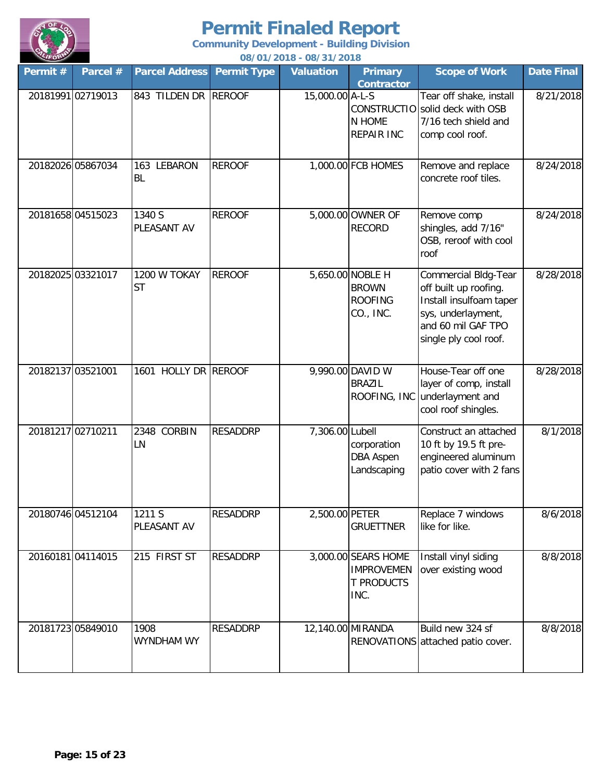

| Permit # | Parcel #          | <b>Parcel Address</b>     | <b>Permit Type</b> | <u>007 0 17 20 10 - 007 3 17 20 10</u><br><b>Valuation</b> | <b>Primary</b>                                                        | <b>Scope of Work</b>                                                                                                                                 | Date Final |
|----------|-------------------|---------------------------|--------------------|------------------------------------------------------------|-----------------------------------------------------------------------|------------------------------------------------------------------------------------------------------------------------------------------------------|------------|
|          | 20181991 02719013 | 843 TILDEN DR REROOF      |                    | 15,000.00 A-L-S                                            | <b>Contractor</b><br>N HOME<br><b>REPAIR INC</b>                      | Tear off shake, install<br>CONSTRUCTIO solid deck with OSB<br>7/16 tech shield and<br>comp cool roof.                                                | 8/21/2018  |
|          | 20182026 05867034 | 163 LEBARON<br><b>BL</b>  | <b>REROOF</b>      |                                                            | 1,000.00 FCB HOMES                                                    | Remove and replace<br>concrete roof tiles.                                                                                                           | 8/24/2018  |
|          | 2018165804515023  | 1340 S<br>PLEASANT AV     | <b>REROOF</b>      |                                                            | 5,000.00 OWNER OF<br><b>RECORD</b>                                    | Remove comp<br>shingles, add 7/16"<br>OSB, reroof with cool<br>roof                                                                                  | 8/24/2018  |
|          | 20182025 03321017 | 1200 W TOKAY<br><b>ST</b> | <b>REROOF</b>      |                                                            | 5,650.00 NOBLE H<br><b>BROWN</b><br><b>ROOFING</b><br>CO., INC.       | <b>Commercial Bldg-Tear</b><br>off built up roofing.<br>Install insulfoam taper<br>sys, underlayment,<br>and 60 mil GAF TPO<br>single ply cool roof. | 8/28/2018  |
|          | 20182137 03521001 | 1601 HOLLY DR REROOF      |                    |                                                            | 9,990.00 DAVID W<br><b>BRAZIL</b>                                     | House-Tear off one<br>layer of comp, install<br>ROOFING, INC underlayment and<br>cool roof shingles.                                                 | 8/28/2018  |
|          | 20181217 02710211 | 2348 CORBIN<br>LN         | <b>RESADDRP</b>    | 7,306.00 Lubell                                            | corporation<br><b>DBA Aspen</b><br>Landscaping                        | Construct an attached<br>10 ft by 19.5 ft pre-<br>engineered aluminum<br>patio cover with 2 fans                                                     | 8/1/2018   |
|          | 20180746 04512104 | 1211 S<br>PLEASANT AV     | <b>RESADDRP</b>    | 2,500.00 PETER                                             | <b>GRUETTNER</b>                                                      | Replace 7 windows<br>like for like.                                                                                                                  | 8/6/2018   |
|          | 2016018104114015  | 215 FIRST ST              | <b>RESADDRP</b>    |                                                            | 3,000.00 SEARS HOME<br><b>IMPROVEMEN</b><br><b>T PRODUCTS</b><br>INC. | Install vinyl siding<br>over existing wood                                                                                                           | 8/8/2018   |
|          | 20181723 05849010 | 1908<br>WYNDHAM WY        | <b>RESADDRP</b>    |                                                            | 12,140.00 MIRANDA                                                     | Build new 324 sf<br>RENOVATIONS attached patio cover.                                                                                                | 8/8/2018   |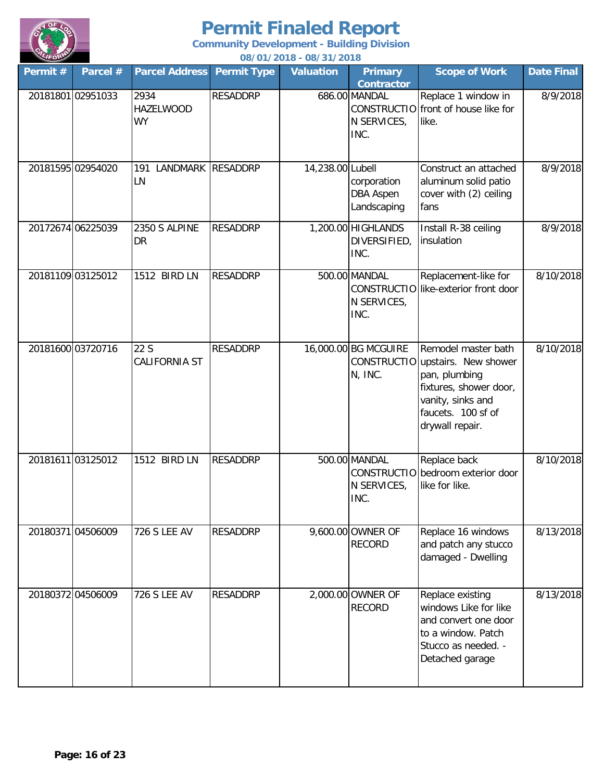

| $\sim$<br>Permit # | Parcel #          | <b>Parcel Address</b>                 | <b>Permit Type</b> | <u> 00/01/2010 - 00/31/2010</u><br><b>Valuation</b> | <b>Primary</b>                                            | <b>Scope of Work</b>                                                                                                                                             | <b>Date Final</b> |
|--------------------|-------------------|---------------------------------------|--------------------|-----------------------------------------------------|-----------------------------------------------------------|------------------------------------------------------------------------------------------------------------------------------------------------------------------|-------------------|
|                    | 20181801 02951033 | 2934<br><b>HAZELWOOD</b><br><b>WY</b> | <b>RESADDRP</b>    |                                                     | <b>Contractor</b><br>686.00 MANDAL<br>N SERVICES,<br>INC. | Replace 1 window in<br>CONSTRUCTIO front of house like for<br>like.                                                                                              | 8/9/2018          |
|                    | 20181595 02954020 | LANDMARK RESADDRP<br>191<br>LN        |                    | 14,238.00 Lubell                                    | corporation<br><b>DBA Aspen</b><br>Landscaping            | Construct an attached<br>aluminum solid patio<br>cover with (2) ceiling<br>fans                                                                                  | 8/9/2018          |
|                    | 20172674 06225039 | 2350 S ALPINE<br>DR                   | <b>RESADDRP</b>    |                                                     | 1,200.00 HIGHLANDS<br>DIVERSIFIED,<br>INC.                | Install R-38 ceiling<br>insulation                                                                                                                               | 8/9/2018          |
|                    | 20181109 03125012 | 1512 BIRD LN                          | <b>RESADDRP</b>    |                                                     | 500.00 MANDAL<br>N SERVICES,<br>INC.                      | Replacement-like for<br>CONSTRUCTIO like-exterior front door                                                                                                     | 8/10/2018         |
|                    | 20181600 03720716 | 22 S<br>CALIFORNIA ST                 | <b>RESADDRP</b>    |                                                     | 16,000.00 BG MCGUIRE<br>N, INC.                           | Remodel master bath<br>CONSTRUCTIO upstairs. New shower<br>pan, plumbing<br>fixtures, shower door,<br>vanity, sinks and<br>faucets. 100 sf of<br>drywall repair. | 8/10/2018         |
|                    | 20181611 03125012 | 1512 BIRD LN                          | <b>RESADDRP</b>    |                                                     | 500.00 MANDAL<br>N SERVICES,<br>INC.                      | Replace back<br>CONSTRUCTIO bedroom exterior door<br>like for like.                                                                                              | 8/10/2018         |
|                    | 20180371 04506009 | <b>726 S LEE AV</b>                   | <b>RESADDRP</b>    |                                                     | 9,600.00 OWNER OF<br><b>RECORD</b>                        | Replace 16 windows<br>and patch any stucco<br>damaged - Dwelling                                                                                                 | 8/13/2018         |
|                    | 20180372 04506009 | <b>726 S LEE AV</b>                   | <b>RESADDRP</b>    |                                                     | 2,000.00 OWNER OF<br><b>RECORD</b>                        | Replace existing<br>windows Like for like<br>and convert one door<br>to a window. Patch<br>Stucco as needed. -<br>Detached garage                                | 8/13/2018         |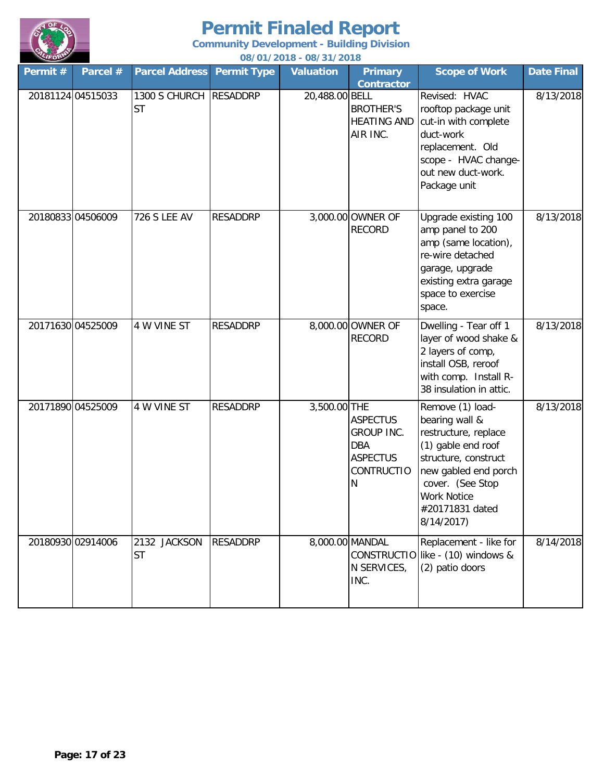

| Permit # | Parcel #          | <b>Parcel Address</b>               | <b>Permit Type</b> | <b>Valuation</b> | <b>Primary</b><br><b>Contractor</b>                                                             | <b>Scope of Work</b>                                                                                                                                                                                        | <b>Date Final</b> |
|----------|-------------------|-------------------------------------|--------------------|------------------|-------------------------------------------------------------------------------------------------|-------------------------------------------------------------------------------------------------------------------------------------------------------------------------------------------------------------|-------------------|
|          | 20181124 04515033 | 1300 S CHURCH RESADDRP<br><b>ST</b> |                    | 20,488.00 BELL   | <b>BROTHER'S</b><br><b>HEATING AND</b><br>AIR INC.                                              | Revised: HVAC<br>rooftop package unit<br>cut-in with complete<br>duct-work<br>replacement. Old<br>scope - HVAC change-<br>out new duct-work.<br>Package unit                                                | 8/13/2018         |
|          | 20180833 04506009 | <b>726 S LEE AV</b>                 | <b>RESADDRP</b>    |                  | 3,000.00 OWNER OF<br><b>RECORD</b>                                                              | Upgrade existing 100<br>amp panel to 200<br>amp (same location),<br>re-wire detached<br>garage, upgrade<br>existing extra garage<br>space to exercise<br>space.                                             | 8/13/2018         |
|          | 20171630 04525009 | 4 W VINE ST                         | <b>RESADDRP</b>    |                  | 8,000.00 OWNER OF<br><b>RECORD</b>                                                              | Dwelling - Tear off 1<br>layer of wood shake &<br>2 layers of comp,<br>install OSB, reroof<br>with comp. Install R-<br>38 insulation in attic.                                                              | 8/13/2018         |
|          | 20171890 04525009 | 4 W VINE ST                         | <b>RESADDRP</b>    | 3,500.00 THE     | <b>ASPECTUS</b><br><b>GROUP INC.</b><br><b>DBA</b><br><b>ASPECTUS</b><br><b>CONTRUCTIO</b><br>N | Remove (1) load-<br>bearing wall &<br>restructure, replace<br>(1) gable end roof<br>structure, construct<br>new gabled end porch<br>cover. (See Stop<br><b>Work Notice</b><br>#20171831 dated<br>8/14/2017) | 8/13/2018         |
|          | 20180930 02914006 | 2132 JACKSON<br><b>ST</b>           | <b>RESADDRP</b>    |                  | 8,000.00 MANDAL<br>N SERVICES,<br>INC.                                                          | Replacement - like for<br>CONSTRUCTIO like - (10) windows &<br>(2) patio doors                                                                                                                              | 8/14/2018         |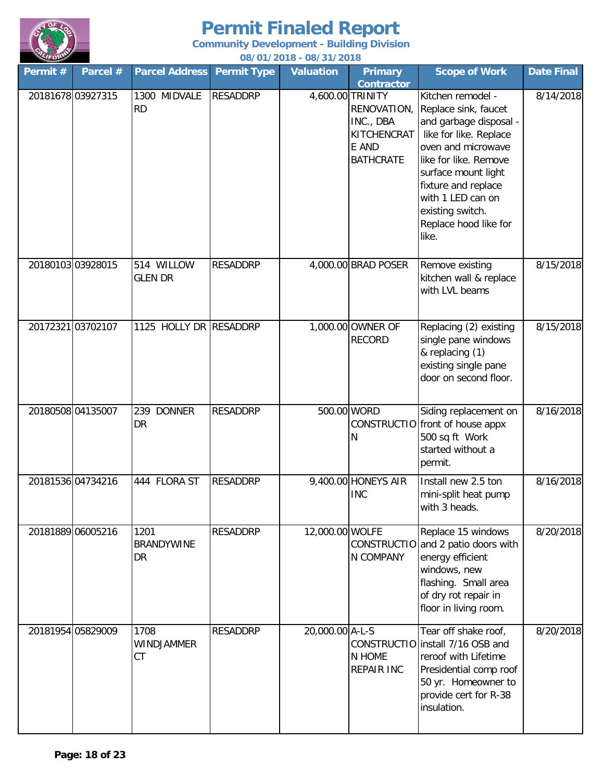

| Permit #          | Parcel # | <b>Parcel Address</b>           | <b>Permit Type</b> | <b>Valuation</b> | <b>Primary</b><br><b>Contractor</b>                                                      | <b>Scope of Work</b>                                                                                                                                                                                                                                                  | <b>Date Final</b> |
|-------------------|----------|---------------------------------|--------------------|------------------|------------------------------------------------------------------------------------------|-----------------------------------------------------------------------------------------------------------------------------------------------------------------------------------------------------------------------------------------------------------------------|-------------------|
| 20181678 03927315 |          | 1300 MIDVALE<br><b>RD</b>       | <b>RESADDRP</b>    |                  | 4,600.00 TRINITY<br>RENOVATION,<br>INC., DBA<br>KITCHENCRAT<br>E AND<br><b>BATHCRATE</b> | Kitchen remodel -<br>Replace sink, faucet<br>and garbage disposal -<br>like for like. Replace<br>oven and microwave<br>like for like. Remove<br>surface mount light<br>fixture and replace<br>with 1 LED can on<br>existing switch.<br>Replace hood like for<br>like. | 8/14/2018         |
| 20180103 03928015 |          | 514 WILLOW<br><b>GLEN DR</b>    | <b>RESADDRP</b>    |                  | 4,000.00 BRAD POSER                                                                      | Remove existing<br>kitchen wall & replace<br>with LVL beams                                                                                                                                                                                                           | 8/15/2018         |
| 20172321 03702107 |          | 1125 HOLLY DR RESADDRP          |                    |                  | 1,000.00 OWNER OF<br><b>RECORD</b>                                                       | Replacing (2) existing<br>single pane windows<br>& replacing (1)<br>existing single pane<br>door on second floor.                                                                                                                                                     | 8/15/2018         |
| 20180508 04135007 |          | 239 DONNER<br>DR                | <b>RESADDRP</b>    | 500.00 WORD      | N                                                                                        | Siding replacement on<br>CONSTRUCTIO front of house appx<br>500 sq ft Work<br>started without a<br>permit.                                                                                                                                                            | 8/16/2018         |
| 20181536 04734216 |          | 444 FLORA ST                    | <b>RESADDRP</b>    |                  | 9,400.00 HONEYS AIR<br><b>INC</b>                                                        | Install new 2.5 ton<br>mini-split heat pump<br>with 3 heads.                                                                                                                                                                                                          | 8/16/2018         |
| 20181889 06005216 |          | 1201<br><b>BRANDYWINE</b><br>DR | <b>RESADDRP</b>    | 12,000.00 WOLFE  | N COMPANY                                                                                | Replace 15 windows<br>CONSTRUCTIO and 2 patio doors with<br>energy efficient<br>windows, new<br>flashing. Small area<br>of dry rot repair in<br>floor in living room.                                                                                                 | 8/20/2018         |
| 20181954 05829009 |          | 1708<br><b>WINDJAMMER</b><br>CT | <b>RESADDRP</b>    | 20,000.00 A-L-S  | N HOME<br><b>REPAIR INC</b>                                                              | Tear off shake roof,<br>CONSTRUCTIO install 7/16 OSB and<br>reroof with Lifetime<br>Presidential comp roof<br>50 yr. Homeowner to<br>provide cert for R-38<br>insulation.                                                                                             | 8/20/2018         |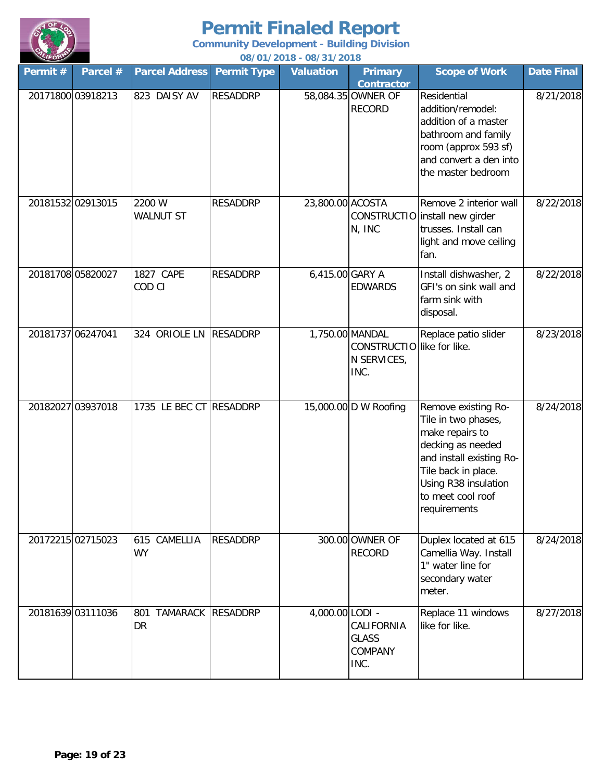

| Permit #          | Parcel #          | <b>Parcel Address</b>          | <b>Permit Type</b> | <b>Valuation</b> | <b>Primary</b><br><b>Contractor</b>                                  | <b>Scope of Work</b>                                                                                                                                                                               | Date Final |
|-------------------|-------------------|--------------------------------|--------------------|------------------|----------------------------------------------------------------------|----------------------------------------------------------------------------------------------------------------------------------------------------------------------------------------------------|------------|
|                   | 20171800 03918213 | 823 DAISY AV                   | <b>RESADDRP</b>    |                  | 58,084.35 OWNER OF<br><b>RECORD</b>                                  | Residential<br>addition/remodel:<br>addition of a master<br>bathroom and family<br>room (approx 593 sf)<br>and convert a den into<br>the master bedroom                                            | 8/21/2018  |
|                   | 20181532 02913015 | 2200 W<br><b>WALNUT ST</b>     | <b>RESADDRP</b>    | 23,800.00 ACOSTA | N, INC                                                               | Remove 2 interior wall<br>CONSTRUCTIO install new girder<br>trusses. Install can<br>light and move ceiling<br>fan.                                                                                 | 8/22/2018  |
|                   | 20181708 05820027 | 1827 CAPE<br>COD CI            | <b>RESADDRP</b>    | 6,415.00 GARY A  | <b>EDWARDS</b>                                                       | Install dishwasher, 2<br>GFI's on sink wall and<br>farm sink with<br>disposal.                                                                                                                     | 8/22/2018  |
| 20181737 06247041 |                   | 324 ORIOLE LN RESADDRP         |                    |                  | 1,750.00 MANDAL<br>CONSTRUCTIO like for like.<br>N SERVICES,<br>INC. | Replace patio slider                                                                                                                                                                               | 8/23/2018  |
|                   | 20182027 03937018 | 1735 LE BEC CT RESADDRP        |                    |                  | 15,000.00 D W Roofing                                                | Remove existing Ro-<br>Tile in two phases,<br>make repairs to<br>decking as needed<br>and install existing Ro-<br>Tile back in place.<br>Using R38 insulation<br>to meet cool roof<br>requirements | 8/24/2018  |
|                   | 20172215 02715023 | 615 CAMELLIA<br><b>WY</b>      | <b>RESADDRP</b>    |                  | 300.00 OWNER OF<br><b>RECORD</b>                                     | Duplex located at 615<br>Camellia Way. Install<br>1" water line for<br>secondary water<br>meter.                                                                                                   | 8/24/2018  |
|                   | 20181639 03111036 | TAMARACK RESADDRP<br>801<br>DR |                    | 4,000.00 LODI -  | CALIFORNIA<br><b>GLASS</b><br>COMPANY<br>INC.                        | Replace 11 windows<br>like for like.                                                                                                                                                               | 8/27/2018  |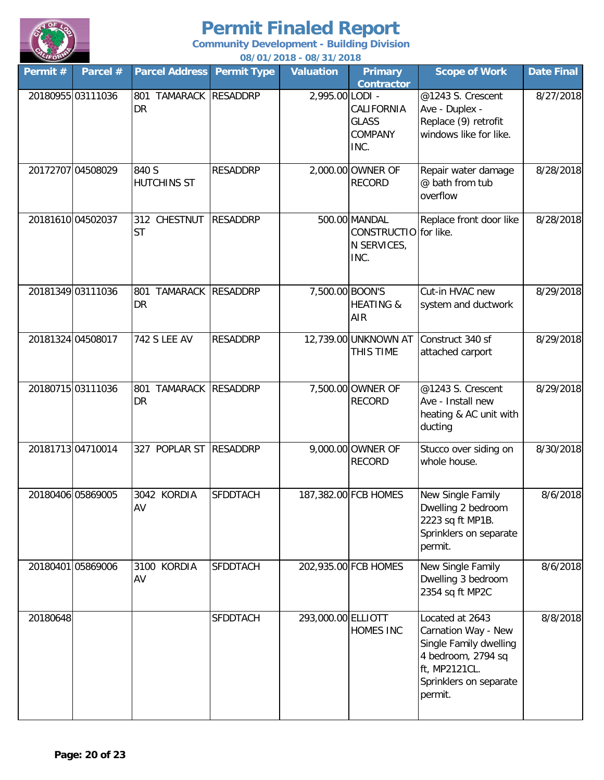

| Permit # | Parcel #          | <b>Parcel Address</b>                 | <b>Permit Type</b> | <b>Valuation</b>   | <b>Primary</b><br><b>Contractor</b>                           | <b>Scope of Work</b>                                                                                                                         | <b>Date Final</b> |
|----------|-------------------|---------------------------------------|--------------------|--------------------|---------------------------------------------------------------|----------------------------------------------------------------------------------------------------------------------------------------------|-------------------|
|          | 20180955 03111036 | TAMARACK RESADDRP<br>801<br><b>DR</b> |                    | 2,995.00 LODI -    | CALIFORNIA<br><b>GLASS</b><br><b>COMPANY</b><br>INC.          | @1243 S. Crescent<br>Ave - Duplex -<br>Replace (9) retrofit<br>windows like for like.                                                        | 8/27/2018         |
|          | 20172707 04508029 | 840 S<br><b>HUTCHINS ST</b>           | <b>RESADDRP</b>    |                    | 2,000.00 OWNER OF<br><b>RECORD</b>                            | Repair water damage<br>@ bath from tub<br>overflow                                                                                           | 8/28/2018         |
|          | 20181610 04502037 | 312 CHESTNUT<br><b>ST</b>             | <b>RESADDRP</b>    |                    | 500.00 MANDAL<br>CONSTRUCTIO for like.<br>N SERVICES,<br>INC. | Replace front door like                                                                                                                      | 8/28/2018         |
|          | 20181349 03111036 | TAMARACK RESADDRP<br>801<br>DR        |                    | 7,500.00 BOON'S    | <b>HEATING &amp;</b><br>AIR                                   | Cut-in HVAC new<br>system and ductwork                                                                                                       | 8/29/2018         |
|          | 20181324 04508017 | <b>742 S LEE AV</b>                   | <b>RESADDRP</b>    |                    | 12,739.00 UNKNOWN AT<br>THIS TIME                             | Construct 340 sf<br>attached carport                                                                                                         | 8/29/2018         |
|          | 20180715 03111036 | TAMARACK RESADDRP<br>801<br>DR        |                    |                    | 7,500.00 OWNER OF<br><b>RECORD</b>                            | @1243 S. Crescent<br>Ave - Install new<br>heating & AC unit with<br>ducting                                                                  | 8/29/2018         |
|          | 20181713 04710014 | 327 POPLAR ST                         | <b>RESADDRP</b>    |                    | 9,000.00 OWNER OF<br><b>RECORD</b>                            | Stucco over siding on<br>whole house.                                                                                                        | 8/30/2018         |
|          | 20180406 05869005 | 3042 KORDIA<br>AV                     | <b>SFDDTACH</b>    |                    | 187,382.00 FCB HOMES                                          | New Single Family<br>Dwelling 2 bedroom<br>2223 sq ft MP1B.<br>Sprinklers on separate<br>permit.                                             | 8/6/2018          |
|          | 20180401 05869006 | 3100 KORDIA<br>AV                     | <b>SFDDTACH</b>    |                    | 202,935.00 FCB HOMES                                          | New Single Family<br>Dwelling 3 bedroom<br>2354 sq ft MP2C                                                                                   | 8/6/2018          |
| 20180648 |                   |                                       | <b>SFDDTACH</b>    | 293,000.00 ELLIOTT | <b>HOMES INC</b>                                              | Located at 2643<br>Carnation Way - New<br>Single Family dwelling<br>4 bedroom, 2794 sq<br>ft, MP2121CL.<br>Sprinklers on separate<br>permit. | 8/8/2018          |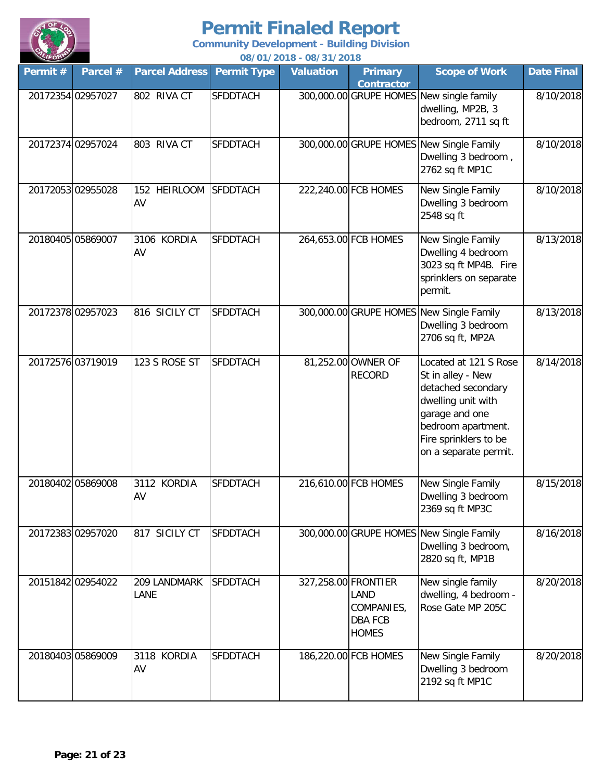

| Permit #          | Parcel #          | <b>Parcel Address</b> | <b>Permit Type</b> | <u> 007 017 2010 - 007 317 2010</u><br><b>Valuation</b> | <b>Primary</b><br><b>Contractor</b>                  | <b>Scope of Work</b>                                                                                                                                                             | <b>Date Final</b> |
|-------------------|-------------------|-----------------------|--------------------|---------------------------------------------------------|------------------------------------------------------|----------------------------------------------------------------------------------------------------------------------------------------------------------------------------------|-------------------|
| 20172354 02957027 |                   | 802 RIVA CT           | <b>SFDDTACH</b>    |                                                         |                                                      | 300,000.00 GRUPE HOMES New single family<br>dwelling, MP2B, 3<br>bedroom, 2711 sq ft                                                                                             | 8/10/2018         |
| 20172374 02957024 |                   | 803 RIVA CT           | <b>SFDDTACH</b>    |                                                         |                                                      | 300,000.00 GRUPE HOMES New Single Family<br>Dwelling 3 bedroom,<br>2762 sq ft MP1C                                                                                               | 8/10/2018         |
| 20172053 02955028 |                   | 152 HEIRLOOM<br>AV    | <b>SFDDTACH</b>    |                                                         | 222,240.00 FCB HOMES                                 | New Single Family<br>Dwelling 3 bedroom<br>2548 sq ft                                                                                                                            | 8/10/2018         |
| 20180405 05869007 |                   | 3106 KORDIA<br>AV     | <b>SFDDTACH</b>    |                                                         | 264,653.00 FCB HOMES                                 | New Single Family<br>Dwelling 4 bedroom<br>3023 sq ft MP4B. Fire<br>sprinklers on separate<br>permit.                                                                            | 8/13/2018         |
| 20172378 02957023 |                   | 816 SICILY CT         | <b>SFDDTACH</b>    |                                                         |                                                      | 300,000.00 GRUPE HOMES New Single Family<br>Dwelling 3 bedroom<br>2706 sq ft, MP2A                                                                                               | 8/13/2018         |
|                   | 20172576 03719019 | 123 S ROSE ST         | <b>SFDDTACH</b>    |                                                         | 81,252.00 OWNER OF<br><b>RECORD</b>                  | Located at 121 S Rose<br>St in alley - New<br>detached secondary<br>dwelling unit with<br>garage and one<br>bedroom apartment.<br>Fire sprinklers to be<br>on a separate permit. | 8/14/2018         |
| 20180402 05869008 |                   | 3112 KORDIA<br>AV     | <b>SFDDTACH</b>    |                                                         | 216,610.00 FCB HOMES                                 | New Single Family<br>Dwelling 3 bedroom<br>2369 sq ft MP3C                                                                                                                       | 8/15/2018         |
|                   | 20172383 02957020 | 817 SICILY CT         | <b>SFDDTACH</b>    |                                                         |                                                      | 300,000.00 GRUPE HOMES New Single Family<br>Dwelling 3 bedroom,<br>2820 sq ft, MP1B                                                                                              | 8/16/2018         |
|                   | 20151842 02954022 | 209 LANDMARK<br>LANE  | <b>SFDDTACH</b>    | 327,258.00 FRONTIER                                     | LAND<br>COMPANIES,<br><b>DBA FCB</b><br><b>HOMES</b> | New single family<br>dwelling, 4 bedroom -<br>Rose Gate MP 205C                                                                                                                  | 8/20/2018         |
| 20180403 05869009 |                   | 3118 KORDIA<br>AV     | <b>SFDDTACH</b>    |                                                         | 186,220.00 FCB HOMES                                 | New Single Family<br>Dwelling 3 bedroom<br>2192 sq ft MP1C                                                                                                                       | 8/20/2018         |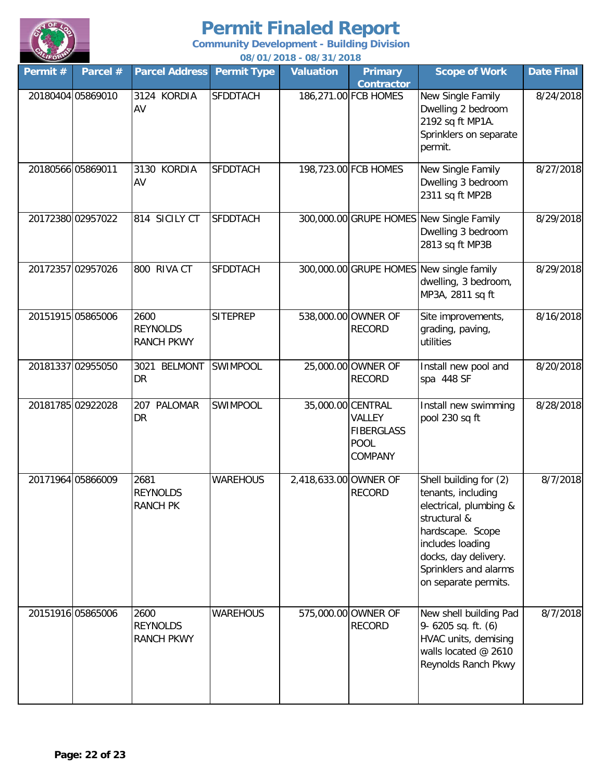

| Permit $#$        | Parcel #          | <b>Parcel Address</b>                        | <b>Permit Type</b> | <u> 007 V 17 ZU 10 - 007 3 17 ZU 10</u><br><b>Valuation</b> | <b>Primary</b>                                        | <b>Scope of Work</b>                                                                                                                                                                                    | <b>Date Final</b> |
|-------------------|-------------------|----------------------------------------------|--------------------|-------------------------------------------------------------|-------------------------------------------------------|---------------------------------------------------------------------------------------------------------------------------------------------------------------------------------------------------------|-------------------|
|                   | 20180404 05869010 | 3124 KORDIA<br>AV                            | <b>SFDDTACH</b>    |                                                             | <b>Contractor</b><br>186,271.00 FCB HOMES             | New Single Family<br>Dwelling 2 bedroom<br>2192 sq ft MP1A.<br>Sprinklers on separate<br>permit.                                                                                                        | 8/24/2018         |
| 20180566 05869011 |                   | 3130 KORDIA<br>AV                            | <b>SFDDTACH</b>    |                                                             | 198,723.00 FCB HOMES                                  | New Single Family<br>Dwelling 3 bedroom<br>2311 sq ft MP2B                                                                                                                                              | 8/27/2018         |
|                   | 20172380 02957022 | 814 SICILY CT                                | <b>SFDDTACH</b>    |                                                             |                                                       | 300,000.00 GRUPE HOMES New Single Family<br>Dwelling 3 bedroom<br>2813 sq ft MP3B                                                                                                                       | 8/29/2018         |
|                   | 20172357 02957026 | 800 RIVA CT                                  | <b>SFDDTACH</b>    |                                                             |                                                       | 300,000.00 GRUPE HOMES New single family<br>dwelling, 3 bedroom,<br>MP3A, 2811 sq ft                                                                                                                    | 8/29/2018         |
|                   | 20151915 05865006 | 2600<br><b>REYNOLDS</b><br><b>RANCH PKWY</b> | <b>SITEPREP</b>    |                                                             | 538,000.00 OWNER OF<br><b>RECORD</b>                  | Site improvements,<br>grading, paving,<br>utilities                                                                                                                                                     | 8/16/2018         |
|                   | 20181337 02955050 | 3021<br><b>BELMONT</b><br>DR                 | SWIMPOOL           |                                                             | 25,000.00 OWNER OF<br><b>RECORD</b>                   | Install new pool and<br>spa 448 SF                                                                                                                                                                      | 8/20/2018         |
|                   | 20181785 02922028 | 207 PALOMAR<br>DR                            | SWIMPOOL           | 35,000.00 CENTRAL                                           | VALLEY<br><b>FIBERGLASS</b><br><b>POOL</b><br>COMPANY | Install new swimming<br>pool 230 sq ft                                                                                                                                                                  | 8/28/2018         |
|                   | 20171964 05866009 | 2681<br><b>REYNOLDS</b><br><b>RANCH PK</b>   | <b>WAREHOUS</b>    | 2,418,633.00 OWNER OF                                       | <b>RECORD</b>                                         | Shell building for (2)<br>tenants, including<br>electrical, plumbing &<br>structural &<br>hardscape. Scope<br>includes loading<br>docks, day delivery.<br>Sprinklers and alarms<br>on separate permits. | 8/7/2018          |
|                   | 20151916 05865006 | 2600<br><b>REYNOLDS</b><br><b>RANCH PKWY</b> | <b>WAREHOUS</b>    |                                                             | 575,000.00 OWNER OF<br><b>RECORD</b>                  | New shell building Pad<br>9- 6205 sq. ft. (6)<br>HVAC units, demising<br>walls located @ 2610<br>Reynolds Ranch Pkwy                                                                                    | 8/7/2018          |